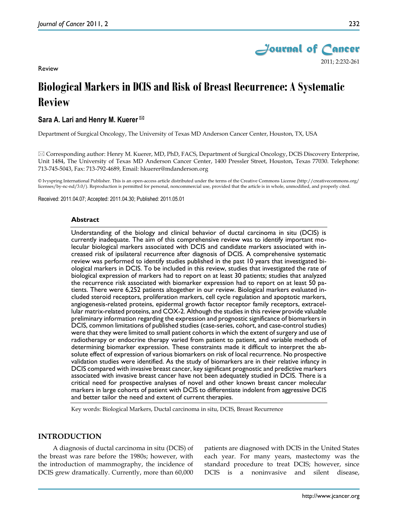Review



# **Biological Markers in DCIS and Risk of Breast Recurrence: A Systematic Review**

# **Sara A. Lari and Henry M. Kuerer**

Department of Surgical Oncology, The University of Texas MD Anderson Cancer Center, Houston, TX, USA

 $\boxtimes$  Corresponding author: Henry M. Kuerer, MD, PhD, FACS, Department of Surgical Oncology, DCIS Discovery Enterprise, Unit 1484, The University of Texas MD Anderson Cancer Center, 1400 Pressler Street, Houston, Texas 77030. Telephone: 713-745-5043, Fax: 713-792-4689, Email: [hkuerer@mdanderson.org](mailto:hkuerer@mdanderson.org)

© Ivyspring International Publisher. This is an open-access article distributed under the terms of the Creative Commons License (http://creativecommons.org/ licenses/by-nc-nd/3.0/). Reproduction is permitted for personal, noncommercial use, provided that the article is in whole, unmodified, and properly cited.

Received: 2011.04.07; Accepted: 2011.04.30; Published: 2011.05.01

#### **Abstract**

Understanding of the biology and clinical behavior of ductal carcinoma in situ (DCIS) is currently inadequate. The aim of this comprehensive review was to identify important molecular biological markers associated with DCIS and candidate markers associated with increased risk of ipsilateral recurrence after diagnosis of DCIS. A comprehensive systematic review was performed to identify studies published in the past 10 years that investigated biological markers in DCIS. To be included in this review, studies that investigated the rate of biological expression of markers had to report on at least 30 patients; studies that analyzed the recurrence risk associated with biomarker expression had to report on at least 50 patients. There were 6,252 patients altogether in our review. Biological markers evaluated included steroid receptors, proliferation markers, cell cycle regulation and apoptotic markers, angiogenesis-related proteins, epidermal growth factor receptor family receptors, extracellular matrix-related proteins, and COX-2. Although the studies in this review provide valuable preliminary information regarding the expression and prognostic significance of biomarkers in DCIS, common limitations of published studies (case-series, cohort, and case-control studies) were that they were limited to small patient cohorts in which the extent of surgery and use of radiotherapy or endocrine therapy varied from patient to patient, and variable methods of determining biomarker expression. These constraints made it difficult to interpret the absolute effect of expression of various biomarkers on risk of local recurrence. No prospective validation studies were identified. As the study of biomarkers are in their relative infancy in DCIS compared with invasive breast cancer, key significant prognostic and predictive markers associated with invasive breast cancer have not been adequately studied in DCIS. There is a critical need for prospective analyses of novel and other known breast cancer molecular markers in large cohorts of patient with DCIS to differentiate indolent from aggressive DCIS and better tailor the need and extent of current therapies.

Key words: Biological Markers, Ductal carcinoma in situ, DCIS, Breast Recurrence

#### **INTRODUCTION**

A diagnosis of ductal carcinoma in situ (DCIS) of the breast was rare before the 1980s; however, with the introduction of mammography, the incidence of DCIS grew dramatically. Currently, more than 60,000

patients are diagnosed with DCIS in the United States each year. For many years, mastectomy was the standard procedure to treat DCIS; however, since DCIS is a noninvasive and silent disease,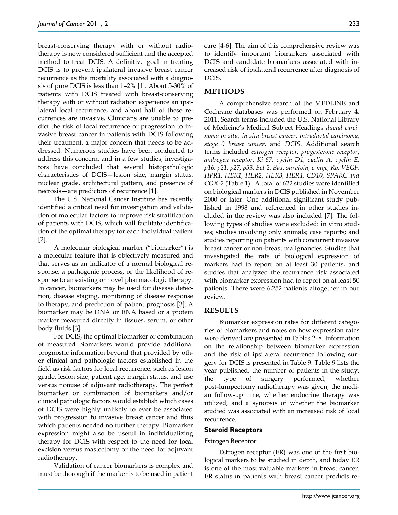breast-conserving therapy with or without radiotherapy is now considered sufficient and the accepted method to treat DCIS. A definitive goal in treating DCIS is to prevent ipsilateral invasive breast cancer recurrence as the mortality associated with a diagnosis of pure DCIS is less than 1–2% [1]. About 5-30% of patients with DCIS treated with breast-conserving therapy with or without radiation experience an ipsilateral local recurrence, and about half of these recurrences are invasive. Clinicians are unable to predict the risk of local recurrence or progression to invasive breast cancer in patients with DCIS following their treatment, a major concern that needs to be addressed. Numerous studies have been conducted to address this concern, and in a few studies, investigators have concluded that several histopathologic characteristics of DCIS—lesion size, margin status, nuclear grade, architectural pattern, and presence of necrosis—are predictors of recurrence [1].

The U.S. National Cancer Institute has recently identified a critical need for investigation and validation of molecular factors to improve risk stratification of patients with DCIS, which will facilitate identification of the optimal therapy for each individual patient [2].

A molecular biological marker ("biomarker") is a molecular feature that is objectively measured and that serves as an indicator of a normal biological response, a pathogenic process, or the likelihood of response to an existing or novel pharmacologic therapy. In cancer, biomarkers may be used for disease detection, disease staging, monitoring of disease response to therapy, and prediction of patient prognosis [3]. A biomarker may be DNA or RNA based or a protein marker measured directly in tissues, serum, or other body fluids [3].

For DCIS, the optimal biomarker or combination of measured biomarkers would provide additional prognostic information beyond that provided by other clinical and pathologic factors established in the field as risk factors for local recurrence, such as lesion grade, lesion size, patient age, margin status, and use versus nonuse of adjuvant radiotherapy. The perfect biomarker or combination of biomarkers and/or clinical pathologic factors would establish which cases of DCIS were highly unlikely to ever be associated with progression to invasive breast cancer and thus which patients needed no further therapy. Biomarker expression might also be useful in individualizing therapy for DCIS with respect to the need for local excision versus mastectomy or the need for adjuvant radiotherapy.

Validation of cancer biomarkers is complex and must be thorough if the marker is to be used in patient care [4-6]. The aim of this comprehensive review was to identify important biomarkers associated with DCIS and candidate biomarkers associated with increased risk of ipsilateral recurrence after diagnosis of DCIS.

# **METHODS**

A comprehensive search of the MEDLINE and Cochrane databases was performed on February 4, 2011. Search terms included the U.S. National Library of Medicine's Medical Subject Headings *ductal carcinoma in situ*, *in situ breast cancer*, *intraductal carcinoma*, *stage 0 breast cancer*, and *DCIS*. Additional search terms included *estrogen receptor, progesterone receptor, androgen receptor, Ki-67, cyclin D1, cyclin A, cyclin E, p16, p21, p27, p53, Bcl-2, Bax, survivin, c-myc, Rb, VEGF, HPR1, HER1, HER2, HER3, HER4, CD10, SPARC and COX-2* (Table 1)*.* A total of 622 studies were identified on biological markers in DCIS published in November 2000 or later. One additional significant study published in 1998 and referenced in other studies included in the review was also included [7]. The following types of studies were excluded: in vitro studies; studies involving only animals; case reports; and studies reporting on patients with concurrent invasive breast cancer or non-breast malignancies. Studies that investigated the rate of biological expression of markers had to report on at least 30 patients, and studies that analyzed the recurrence risk associated with biomarker expression had to report on at least 50 patients. There were 6,252 patients altogether in our review.

# **RESULTS**

Biomarker expression rates for different categories of biomarkers and notes on how expression rates were derived are presented in Tables 2–8. Information on the relationship between biomarker expression and the risk of ipsilateral recurrence following surgery for DCIS is presented in Table 9. Table 9 lists the year published, the number of patients in the study, the type of surgery performed, whether post-lumpectomy radiotherapy was given, the median follow-up time, whether endocrine therapy was utilized, and a synopsis of whether the biomarker studied was associated with an increased risk of local recurrence.

# **Steroid Receptors**

#### Estrogen Receptor

Estrogen receptor (ER) was one of the first biological markers to be studied in depth, and today ER is one of the most valuable markers in breast cancer. ER status in patients with breast cancer predicts re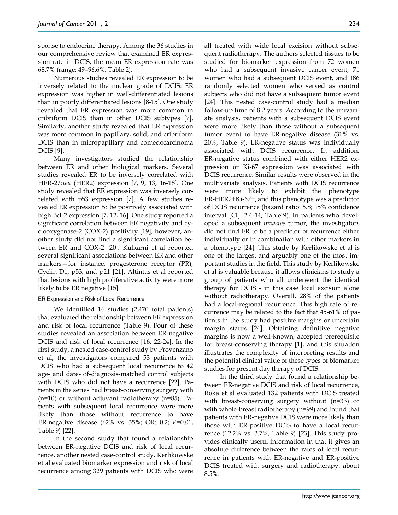sponse to endocrine therapy. Among the 36 studies in our comprehensive review that examined ER expression rate in DCIS, the mean ER expression rate was 68.7% (range: 49–96.6%, Table 2).

Numerous studies revealed ER expression to be inversely related to the nuclear grade of DCIS: ER expression was higher in well-differentiated lesions than in poorly differentiated lesions [8-15]. One study revealed that ER expression was more common in cribriform DCIS than in other DCIS subtypes [7]. Similarly, another study revealed that ER expression was more common in papillary, solid, and cribriform DCIS than in micropapillary and comedocarcinoma DCIS [9].

Many investigators studied the relationship between ER and other biological markers. Several studies revealed ER to be inversely correlated with HER-2/*neu* (HER2) expression [7, 9, 13, 16-18]. One study revealed that ER expression was inversely correlated with p53 expression [7]. A few studies revealed ER expression to be positively associated with high Bcl-2 expression [7, 12, 16]. One study reported a significant correlation between ER negativity and cyclooxygenase-2 (COX-2) positivity [19]; however, another study did not find a significant correlation between ER and COX-2 [20]. Kulkarni et al reported several significant associations between ER and other markers—for instance, progesterone receptor (PR), Cyclin D1, p53, and p21 [21]. Altintas et al reported that lesions with high proliferative activity were more likely to be ER negative [15].

#### ER Expression and Risk of Local Recurrence

We identified 16 studies (2,470 total patients) that evaluated the relationship between ER expression and risk of local recurrence (Table 9). Four of these studies revealed an association between ER-negative DCIS and risk of local recurrence [16, 22-24]. In the first study, a nested case-control study by Provenzano et al, the investigators compared 53 patients with DCIS who had a subsequent local recurrence to 42 age- and date- of-diagnosis-matched control subjects with DCIS who did not have a recurrence [22]. Patients in the series had breast-conserving surgery with (n=10) or without adjuvant radiotherapy (n=85). Patients with subsequent local recurrence were more likely than those without recurrence to have ER-negative disease (62% vs. 35%; OR: 0.2; *P*=0.01, Table 9) [22].

In the second study that found a relationship between ER-negative DCIS and risk of local recurrence, another nested case-control study, Kerlikowske et al evaluated biomarker expression and risk of local recurrence among 329 patients with DCIS who were

all treated with wide local excision without subsequent radiotherapy. The authors selected tissues to be studied for biomarker expression from 72 women who had a subsequent invasive cancer event, 71 women who had a subsequent DCIS event, and 186 randomly selected women who served as control subjects who did not have a subsequent tumor event [24]. This nested case-control study had a median follow-up time of 8.2 years. According to the univariate analysis, patients with a subsequent DCIS event were more likely than those without a subsequent tumor event to have ER-negative disease (31% vs. 20%, Table 9). ER-negative status was individually associated with DCIS recurrence. In addition, ER-negative status combined with either HER2 expression or Ki-67 expression was associated with DCIS recurrence. Similar results were observed in the multivariate analysis. Patients with DCIS recurrence were more likely to exhibit the phenotype ER-HER2+Ki-67+, and this phenotype was a predictor of DCIS recurrence (hazard ratio: 5.8; 95% confidence interval [CI]: 2.4-14, Table 9). In patients who developed a subsequent *invasive* tumor, the investigators did not find ER to be a predictor of recurrence either individually or in combination with other markers in a phenotype [24]. This study by Kerlikowske et al is one of the largest and arguably one of the most important studies in the field. This study by Kerlikowske et al is valuable because it allows clinicians to study a group of patients who all underwent the identical therapy for DCIS - in this case local excision alone without radiotherapy. Overall, 28% of the patients had a local-regional recurrence. This high rate of recurrence may be related to the fact that 45-61% of patients in the study had positive margins or uncertain margin status [24]. Obtaining definitive negative margins is now a well-known, accepted prerequisite for breast-conserving therapy [1], and this situation illustrates the complexity of interpreting results and the potential clinical value of these types of biomarker studies for present day therapy of DCIS.

In the third study that found a relationship between ER-negative DCIS and risk of local recurrence, Roka et al evaluated 132 patients with DCIS treated with breast-conserving surgery without (n=33) or with whole-breast radiotherapy (n=99) and found that patients with ER-negative DCIS were more likely than those with ER-positive DCIS to have a local recurrence (12.2% vs. 3.7%, Table 9) [23]. This study provides clinically useful information in that it gives an absolute difference between the rates of local recurrence in patients with ER-negative and ER-positive DCIS treated with surgery and radiotherapy: about 8.5%.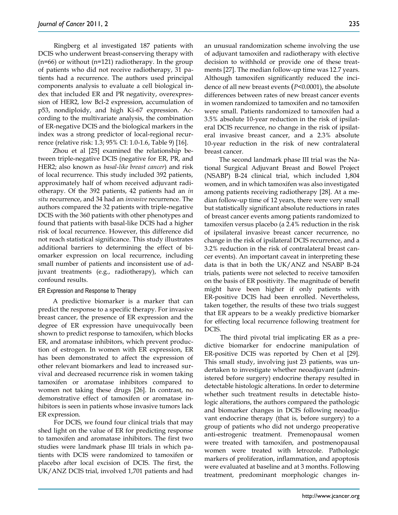Ringberg et al investigated 187 patients with DCIS who underwent breast-conserving therapy with (n=66) or without (n=121) radiotherapy. In the group of patients who did not receive radiotherapy, 31 patients had a recurrence. The authors used principal components analysis to evaluate a cell biological index that included ER and PR negativity, overexpression of HER2, low Bcl-2 expression, accumulation of p53, nondiploidy, and high Ki-67 expression. According to the multivariate analysis, the combination of ER-negative DCIS and the biological markers in the index was a strong predictor of local-regional recurrence (relative risk: 1.3; 95% CI: 1.0-1.6, Table 9) [16].

Zhou et al [25] examined the relationship between triple-negative DCIS (negative for ER, PR, and HER2; also known as *basal-like breast cancer*) and risk of local recurrence. This study included 392 patients, approximately half of whom received adjuvant radiotherapy. Of the 392 patients, 42 patients had an *in situ* recurrence, and 34 had an *invasive* recurrence. The authors compared the 32 patients with triple-negative DCIS with the 360 patients with other phenotypes and found that patients with basal-like DCIS had a higher risk of local recurrence. However, this difference did not reach statistical significance. This study illustrates additional barriers to determining the effect of biomarker expression on local recurrence, including small number of patients and inconsistent use of adjuvant treatments (e.g., radiotherapy), which can confound results.

#### ER Expression and Response to Therapy

A predictive biomarker is a marker that can predict the response to a specific therapy. For invasive breast cancer, the presence of ER expression and the degree of ER expression have unequivocally been shown to predict response to tamoxifen, which blocks ER, and aromatase inhibitors, which prevent production of estrogen. In women with ER expression, ER has been demonstrated to affect the expression of other relevant biomarkers and lead to increased survival and decreased recurrence risk in women taking tamoxifen or aromatase inhibitors compared to women not taking these drugs [26]. In contrast, no demonstrative effect of tamoxifen or aromatase inhibitors is seen in patients whose invasive tumors lack ER expression.

For DCIS, we found four clinical trials that may shed light on the value of ER for predicting response to tamoxifen and aromatase inhibitors. The first two studies were landmark phase III trials in which patients with DCIS were randomized to tamoxifen or placebo after local excision of DCIS. The first, the UK/ANZ DCIS trial, involved 1,701 patients and had an unusual randomization scheme involving the use of adjuvant tamoxifen and radiotherapy with elective decision to withhold or provide one of these treatments [27]. The median follow-up time was 12.7 years. Although tamoxifen significantly reduced the incidence of all new breast events (*P*<0.0001), the absolute differences between rates of new breast cancer events in women randomized to tamoxifen and no tamoxifen were small. Patients randomized to tamoxifen had a 3.5% absolute 10-year reduction in the risk of ipsilateral DCIS recurrence, no change in the risk of ipsilateral invasive breast cancer, and a 2.3% absolute 10-year reduction in the risk of new contralateral breast cancer.

The second landmark phase III trial was the National Surgical Adjuvant Breast and Bowel Project (NSABP) B-24 clinical trial, which included 1,804 women, and in which tamoxifen was also investigated among patients receiving radiotherapy [28]. At a median follow-up time of 12 years, there were very small but statistically significant absolute reductions in rates of breast cancer events among patients randomized to tamoxifen versus placebo (a 2.4% reduction in the risk of ipsilateral invasive breast cancer recurrence, no change in the risk of ipsilateral DCIS recurrence, and a 3.2% reduction in the risk of contralateral breast cancer events). An important caveat in interpreting these data is that in both the UK/ANZ and NSABP B-24 trials, patients were not selected to receive tamoxifen on the basis of ER positivity. The magnitude of benefit might have been higher if only patients with ER-positive DCIS had been enrolled. Nevertheless, taken together, the results of these two trials suggest that ER appears to be a weakly predictive biomarker for effecting local recurrence following treatment for DCIS.

The third pivotal trial implicating ER as a predictive biomarker for endocrine manipulation of ER-positive DCIS was reported by Chen et al [29]. This small study, involving just 23 patients, was undertaken to investigate whether neoadjuvant (administered before surgery) endocrine therapy resulted in detectable histologic alterations. In order to determine whether such treatment results in detectable histologic alterations, the authors compared the pathologic and biomarker changes in DCIS following neoadjuvant endocrine therapy (that is, before surgery) to a group of patients who did not undergo preoperative anti-estrogenic treatment. Premenopausal women were treated with tamoxifen, and postmenopausal women were treated with letrozole. Pathologic markers of proliferation, inflammation, and apoptosis were evaluated at baseline and at 3 months. Following treatment, predominant morphologic changes in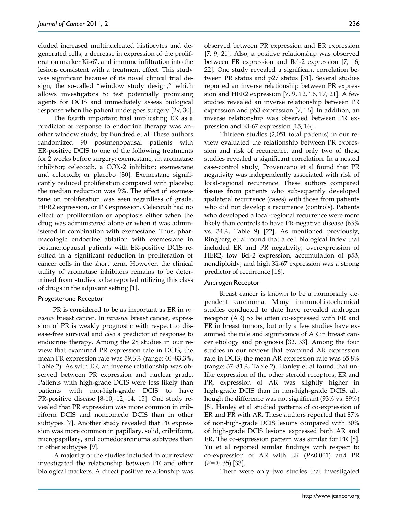cluded increased multinucleated histiocytes and degenerated cells, a decrease in expression of the proliferation marker Ki-67, and immune infiltration into the lesions consistent with a treatment effect. This study was significant because of its novel clinical trial design, the so-called "window study design," which allows investigators to test potentially promising agents for DCIS and immediately assess biological response when the patient undergoes surgery [29, 30].

The fourth important trial implicating ER as a predictor of response to endocrine therapy was another window study, by Bundred et al. These authors randomized 90 postmenopausal patients with ER-positive DCIS to one of the following treatments for 2 weeks before surgery: exemestane, an aromatase inhibitor; celecoxib, a COX-2 inhibitor; exemestane and celecoxib; or placebo [30]. Exemestane significantly reduced proliferation compared with placebo; the median reduction was 9%. The effect of exemestane on proliferation was seen regardless of grade, HER2 expression, or PR expression. Celecoxib had no effect on proliferation or apoptosis either when the drug was administered alone or when it was administered in combination with exemestane. Thus, pharmacologic endocrine ablation with exemestane in postmenopausal patients with ER-positive DCIS resulted in a significant reduction in proliferation of cancer cells in the short term. However, the clinical utility of aromatase inhibitors remains to be determined from studies to be reported utilizing this class of drugs in the adjuvant setting [1].

#### Progesterone Receptor

PR is considered to be as important as ER in *invasive* breast cancer. In *invasive* breast cancer, expression of PR is weakly prognostic with respect to disease-free survival and *also* a predictor of response to endocrine therapy. Among the 28 studies in our review that examined PR expression rate in DCIS, the mean PR expression rate was 59.6% (range: 40–83.3%, Table 2). As with ER, an inverse relationship was observed between PR expression and nuclear grade. Patients with high-grade DCIS were less likely than patients with non-high-grade DCIS to have PR-positive disease [8-10, 12, 14, 15]. One study revealed that PR expression was more common in cribriform DCIS and noncomedo DCIS than in other subtypes [7]. Another study revealed that PR expression was more common in papillary, solid, cribriform, micropapillary, and comedocarcinoma subtypes than in other subtypes [9].

A majority of the studies included in our review investigated the relationship between PR and other biological markers. A direct positive relationship was observed between PR expression and ER expression [7, 9, 21]. Also, a positive relationship was observed between PR expression and Bcl-2 expression [7, 16, 22]. One study revealed a significant correlation between PR status and p27 status [31]. Several studies reported an inverse relationship between PR expression and HER2 expression [7, 9, 12, 16, 17, 21]. A few studies revealed an inverse relationship between PR expression and p53 expression [7, 16]. In addition, an inverse relationship was observed between PR expression and Ki-67 expression [15, 16].

Thirteen studies (2,051 total patients) in our review evaluated the relationship between PR expression and risk of recurrence, and only two of these studies revealed a significant correlation. In a nested case-control study, Provenzano et al found that PR negativity was independently associated with risk of local-regional recurrence. These authors compared tissues from patients who subsequently developed ipsilateral recurrence (cases) with those from patients who did not develop a recurrence (controls). Patients who developed a local-regional recurrence were more likely than controls to have PR-negative disease (63% vs. 34%, Table 9) [22]. As mentioned previously, Ringberg et al found that a cell biological index that included ER and PR negativity, overexpression of HER2, low Bcl-2 expression, accumulation of p53, nondiploidy, and high Ki-67 expression was a strong predictor of recurrence [16].

#### Androgen Receptor

Breast cancer is known to be a hormonally dependent carcinoma. Many immunohistochemical studies conducted to date have revealed androgen receptor (AR) to be often co-expressed with ER and PR in breast tumors, but only a few studies have examined the role and significance of AR in breast cancer etiology and prognosis [32, 33]. Among the four studies in our review that examined AR expression rate in DCIS, the mean AR expression rate was 65.8% (range: 37–81%, Table 2). Hanley et al found that unlike expression of the other steroid receptors, ER and PR, expression of AR was slightly higher in high-grade DCIS than in non-high-grade DCIS, although the difference was not significant (93% vs. 89%) [8]. Hanley et al studied patterns of co-expression of ER and PR with AR. These authors reported that 87% of non-high-grade DCIS lesions compared with 30% of high-grade DCIS lesions expressed both AR and ER. The co-expression pattern was similar for PR [8]. Yu et al reported similar findings with respect to co-expression of AR with ER (*P*<0.001) and PR (*P*=0.035) [33].

There were only two studies that investigated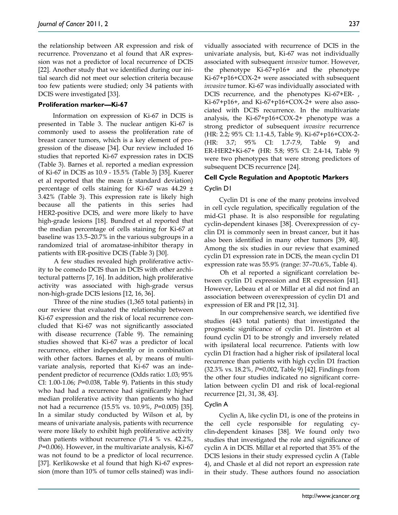the relationship between AR expression and risk of recurrence. Provenzano et al found that AR expression was not a predictor of local recurrence of DCIS [22]. Another study that we identified during our initial search did not meet our selection criteria because too few patients were studied; only 34 patients with DCIS were investigated [33].

# **Proliferation marker—Ki-67**

Information on expression of Ki-67 in DCIS is presented in Table 3. The nuclear antigen Ki-67 is commonly used to assess the proliferation rate of breast cancer tumors, which is a key element of progression of the disease [34]. Our review included 16 studies that reported Ki-67 expression rates in DCIS (Table 3). Barnes et al. reported a median expression of Ki-67 in DCIS as 10.9 - 15.5% (Table 3) [35]. Kuerer et al reported that the mean (± standard deviation) percentage of cells staining for Ki-67 was  $44.29 \pm$ 3.42% (Table 3). This expression rate is likely high because all the patients in this series had HER2-positive DCIS, and were more likely to have high-grade lesions [18]. Bundred et al reported that the median percentage of cells staining for Ki-67 at baseline was 13.5–20.7% in the various subgroups in a randomized trial of aromatase-inhibitor therapy in patients with ER-positive DCIS (Table 3) [30].

A few studies revealed high proliferative activity to be comedo DCIS than in DCIS with other architectural patterns [7, 16]. In addition, high proliferative activity was associated with high-grade versus non-high-grade DCIS lesions [12, 16, 36].

Three of the nine studies (1,365 total patients) in our review that evaluated the relationship between Ki-67 expression and the risk of local recurrence concluded that Ki-67 was not significantly associated with disease recurrence (Table 9). The remaining studies showed that Ki-67 was a predictor of local recurrence, either independently or in combination with other factors. Barnes et al, by means of multivariate analysis, reported that Ki-67 was an independent predictor of recurrence (Odds ratio: 1.03; 95% CI: 1.00-1.06; *P*=0.038, Table 9). Patients in this study who had had a recurrence had significantly higher median proliferative activity than patients who had not had a recurrence (15.5% vs. 10.9%, *P*=0.005) [35]. In a similar study conducted by Wilson et al, by means of univariate analysis, patients with recurrence were more likely to exhibit high proliferative activity than patients without recurrence (71.4 % vs. 42.2%, *P*=0.006). However, in the multivariate analysis, Ki-67 was not found to be a predictor of local recurrence. [37]. Kerlikowske et al found that high Ki-67 expression (more than 10% of tumor cells stained) was individually associated with recurrence of DCIS in the univariate analysis, but, Ki-67 was not individually associated with subsequent *invasive* tumor. However, the phenotype Ki-67+p16+ and the phenotype Ki-67+p16+COX-2+ were associated with subsequent *invasive* tumor. Ki-67 was individually associated with DCIS recurrence, and the phenotypes Ki-67+ER- , Ki-67+p16+, and Ki-67+p16+COX-2+ were also associated with DCIS recurrence. In the multivariate analysis, the Ki-67+p16+COX-2+ phenotype was a strong predictor of subsequent *invasive* recurrence (HR: 2.2; 95% CI: 1.1-4.5, Table 9). Ki-67+p16+COX-2- (HR: 3.7; 95% CI: 1.7-7.9, Table 9) and ER-HER2+Ki-67+ (HR: 5.8; 95% CI: 2.4-14, Table 9) were two phenotypes that were strong predictors of subsequent DCIS recurrence [24].

# **Cell Cycle Regulation and Apoptotic Markers**

# Cyclin D1

Cyclin D1 is one of the many proteins involved in cell cycle regulation, specifically regulation of the mid-G1 phase. It is also responsible for regulating cyclin-dependent kinases [38]. Overexpression of cyclin D1 is commonly seen in breast cancer, but it has also been identified in many other tumors [39, 40]. Among the six studies in our review that examined cyclin D1 expression rate in DCIS, the mean cyclin D1 expression rate was 55.9% (range: 37–70.6%, Table 4).

Oh et al reported a significant correlation between cyclin D1 expression and ER expression [41]. However, Lebeau et al or Millar et al did not find an association between overexpression of cyclin D1 and expression of ER and PR [12, 31].

In our comprehensive search, we identified five studies (443 total patients) that investigated the prognostic significance of cyclin D1. Jirström et al found cyclin D1 to be strongly and inversely related with ipsilateral local recurrence. Patients with low cyclin D1 fraction had a higher risk of ipsilateral local recurrence than patients with high cyclin D1 fraction (32.3% vs. 18.2%, *P*=0.002, Table 9) [42]. Findings from the other four studies indicated no significant correlation between cyclin D1 and risk of local-regional recurrence [21, 31, 38, 43].

# Cyclin A

Cyclin A, like cyclin D1, is one of the proteins in the cell cycle responsible for regulating cyclin-dependent kinases [38]. We found only two studies that investigated the role and significance of cyclin A in DCIS. Millar et al reported that 35% of the DCIS lesions in their study expressed cyclin A (Table 4), and Chasle et al did not report an expression rate in their study. These authors found no association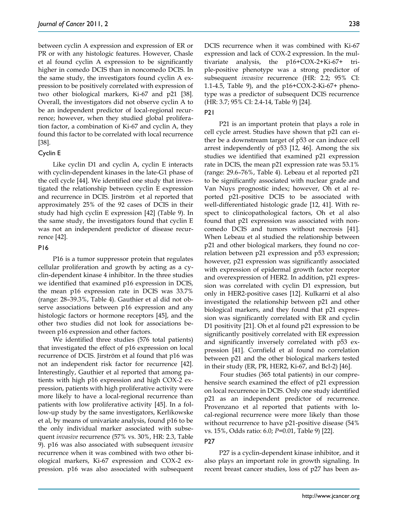between cyclin A expression and expression of ER or PR or with any histologic features. However, Chasle et al found cyclin A expression to be significantly higher in comedo DCIS than in noncomedo DCIS. In the same study, the investigators found cyclin A expression to be positively correlated with expression of two other biological markers, Ki-67 and p21 [38]. Overall, the investigators did not observe cyclin A to be an independent predictor of local-regional recurrence; however, when they studied global proliferation factor, a combination of Ki-67 and cyclin A, they found this factor to be correlated with local recurrence [38].

#### Cyclin E

Like cyclin D1 and cyclin A, cyclin E interacts with cyclin-dependent kinases in the late-G1 phase of the cell cycle [44]. We identified one study that investigated the relationship between cyclin E expression and recurrence in DCIS. Jirström et al reported that approximately 25% of the 92 cases of DCIS in their study had high cyclin E expression [42] (Table 9). In the same study, the investigators found that cyclin E was not an independent predictor of disease recurrence [42].

# P16

P16 is a tumor suppressor protein that regulates cellular proliferation and growth by acting as a cyclin-dependent kinase 4 inhibitor. In the three studies we identified that examined p16 expression in DCIS, the mean p16 expression rate in DCIS was 33.7% (range: 28–39.3%, Table 4). Gauthier et al did not observe associations between p16 expression and any histologic factors or hormone receptors [45], and the other two studies did not look for associations between p16 expression and other factors.

We identified three studies (576 total patients) that investigated the effect of p16 expression on local recurrence of DCIS. Jirström et al found that p16 was not an independent risk factor for recurrence [42]. Interestingly, Gauthier et al reported that among patients with high p16 expression and high COX-2 expression, patients with high proliferative activity were more likely to have a local-regional recurrence than patients with low proliferative activity [45]. In a follow-up study by the same investigators, Kerlikowske et al, by means of univariate analysis, found p16 to be the only individual marker associated with subsequent *invasive* recurrence (57% vs. 30%, HR: 2.3, Table 9). p16 was also associated with subsequent *invasive*  recurrence when it was combined with two other biological markers, Ki-67 expression and COX-2 expression. p16 was also associated with subsequent DCIS recurrence when it was combined with Ki-67 expression and lack of COX-2 expression. In the multivariate analysis, the p16+COX-2+Ki-67+ triple-positive phenotype was a strong predictor of subsequent *invasive* recurrence (HR: 2.2; 95% CI: 1.1-4.5, Table 9), and the p16+COX-2-Ki-67+ phenotype was a predictor of subsequent DCIS recurrence (HR: 3.7; 95% CI: 2.4-14, Table 9) [24].

#### P21

P21 is an important protein that plays a role in cell cycle arrest. Studies have shown that p21 can either be a downstream target of p53 or can induce cell arrest independently of p53 [12, 46]. Among the six studies we identified that examined p21 expression rate in DCIS, the mean p21 expression rate was 53.1% (range: 29.6–76%, Table 4). Lebeau et al reported p21 to be significantly associated with nuclear grade and Van Nuys prognostic index; however, Oh et al reported p21-positive DCIS to be associated with well-differentiated histologic grade [12, 41]. With respect to clinicopathological factors, Oh et al also found that p21 expression was associated with noncomedo DCIS and tumors without necrosis [41]. When Lebeau et al studied the relationship between p21 and other biological markers, they found no correlation between p21 expression and p53 expression; however, p21 expression was significantly associated with expression of epidermal growth factor receptor and overexpression of HER2. In addition, p21 expression was correlated with cyclin D1 expression, but only in HER2-positive cases [12]. Kulkarni et al also investigated the relationship between p21 and other biological markers, and they found that p21 expression was significantly correlated with ER and cyclin D1 positivity [21]. Oh et al found p21 expression to be significantly positively correlated with ER expression and significantly inversely correlated with p53 expression [41]. Cornfield et al found no correlation between p21 and the other biological markers tested in their study (ER, PR, HER2, Ki-67, and Bcl-2) [46].

Four studies (365 total patients) in our comprehensive search examined the effect of p21 expression on local recurrence in DCIS. Only one study identified p21 as an independent predictor of recurrence. Provenzano et al reported that patients with local-regional recurrence were more likely than those without recurrence to have p21-positive disease (54% vs. 15%, Odds ratio: 6.0; *P*=0.01, Table 9) [22].

#### P27

P27 is a cyclin-dependent kinase inhibitor, and it also plays an important role in growth signaling. In recent breast cancer studies, loss of p27 has been as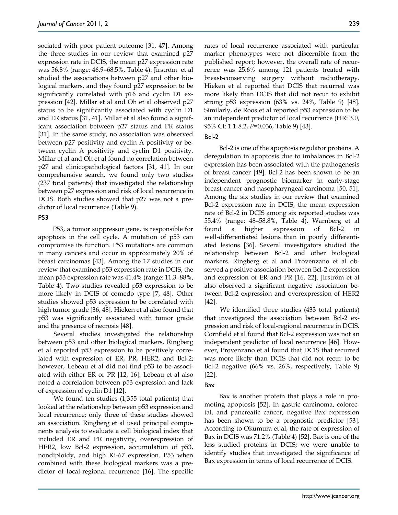sociated with poor patient outcome [31, 47]. Among the three studies in our review that examined p27 expression rate in DCIS, the mean p27 expression rate was 56.8% (range: 46.9–68.5%, Table 4). Jirström et al studied the associations between p27 and other biological markers, and they found p27 expression to be significantly correlated with p16 and cyclin D1 expression [42]. Millar et al and Oh et al observed p27 status to be significantly associated with cyclin D1 and ER status [31, 41]. Millar et al also found a significant association between p27 status and PR status [31]. In the same study, no association was observed between p27 positivity and cyclin A positivity or between cyclin A positivity and cyclin D1 positivity. Millar et al and Oh et al found no correlation between p27 and clinicopathological factors [31, 41]. In our comprehensive search, we found only two studies (237 total patients) that investigated the relationship between p27 expression and risk of local recurrence in DCIS. Both studies showed that p27 was not a predictor of local recurrence (Table 9).

#### P53

P53, a tumor suppressor gene, is responsible for apoptosis in the cell cycle. A mutation of p53 can compromise its function. P53 mutations are common in many cancers and occur in approximately 20% of breast carcinomas [43]. Among the 17 studies in our review that examined p53 expression rate in DCIS, the mean p53 expression rate was 41.4% (range: 11.3–88%, Table 4). Two studies revealed p53 expression to be more likely in DCIS of comedo type [7, 48]. Other studies showed p53 expression to be correlated with high tumor grade [36, 48]. Hieken et al also found that p53 was significantly associated with tumor grade and the presence of necrosis [48].

Several studies investigated the relationship between p53 and other biological markers. Ringberg et al reported p53 expression to be positively correlated with expression of ER, PR, HER2, and Bcl-2; however, Lebeau et al did not find p53 to be associated with either ER or PR [12, 16]. Lebeau et al also noted a correlation between p53 expression and lack of expression of cyclin D1 [12].

We found ten studies (1,355 total patients) that looked at the relationship between p53 expression and local recurrence; only three of these studies showed an association. Ringberg et al used principal components analysis to evaluate a cell biological index that included ER and PR negativity, overexpression of HER2, low Bcl-2 expression, accumulation of p53, nondiploidy, and high Ki-67 expression. P53 when combined with these biological markers was a predictor of local-regional recurrence [16]. The specific

rates of local recurrence associated with particular marker phenotypes were not discernible from the published report; however, the overall rate of recurrence was 25.6% among 121 patients treated with breast-conserving surgery without radiotherapy. Hieken et al reported that DCIS that recurred was more likely than DCIS that did not recur to exhibit strong p53 expression (63% vs. 24%, Table 9) [48]. Similarly, de Roos et al reported p53 expression to be an independent predictor of local recurrence (HR: 3.0, 95% CI: 1.1-8.2, *P*=0.036, Table 9) [43].

#### Bcl-2

Bcl-2 is one of the apoptosis regulator proteins. A deregulation in apoptosis due to imbalances in Bcl-2 expression has been associated with the pathogenesis of breast cancer [49]. Bcl-2 has been shown to be an independent prognostic biomarker in early-stage breast cancer and nasopharyngeal carcinoma [50, 51]. Among the six studies in our review that examined Bcl-2 expression rate in DCIS, the mean expression rate of Bcl-2 in DCIS among six reported studies was 55.4% (range: 48–58.8%, Table 4). Warnberg et al found a higher expression of Bcl-2 in well-differentiated lesions than in poorly differentiated lesions [36]. Several investigators studied the relationship between Bcl-2 and other biological markers. Ringberg et al and Provenzano et al observed a positive association between Bcl-2 expression and expression of ER and PR [16, 22]. Jirström et al also observed a significant negative association between Bcl-2 expression and overexpression of HER2 [42].

We identified three studies (433 total patients) that investigated the association between Bcl-2 expression and risk of local-regional recurrence in DCIS. Cornfield et al found that Bcl-2 expression was not an independent predictor of local recurrence [46]. However, Provenzano et al found that DCIS that recurred was more likely than DCIS that did not recur to be Bcl-2 negative (66% vs. 26%, respectively, Table 9) [22].

#### Bax

Bax is another protein that plays a role in promoting apoptosis [52]. In gastric carcinoma, colorectal, and pancreatic cancer, negative Bax expression has been shown to be a prognostic predictor [53]. According to Okumura et al, the rate of expression of Bax in DCIS was 71.2% (Table 4) [52]. Bax is one of the less studied proteins in DCIS; we were unable to identify studies that investigated the significance of Bax expression in terms of local recurrence of DCIS.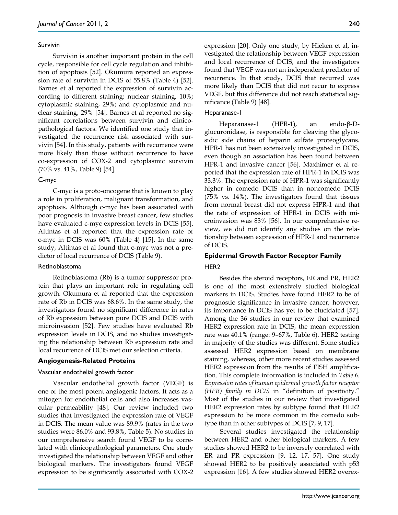#### Survivin

Survivin is another important protein in the cell cycle, responsible for cell cycle regulation and inhibition of apoptosis [52]. Okumura reported an expression rate of survivin in DCIS of 55.8% (Table 4) [52]. Barnes et al reported the expression of survivin according to different staining: nuclear staining, 10%; cytoplasmic staining, 29%; and cytoplasmic and nuclear staining, 29% [54]. Barnes et al reported no significant correlations between survivin and clinicopathological factors. We identified one study that investigated the recurrence risk associated with survivin [54]. In this study, patients with recurrence were more likely than those without recurrence to have co-expression of COX-2 and cytoplasmic survivin (70% vs. 41%, Table 9) [54].

#### C-myc

C-myc is a proto-oncogene that is known to play a role in proliferation, malignant transformation, and apoptosis. Although c-myc has been associated with poor prognosis in invasive breast cancer, few studies have evaluated c-myc expression levels in DCIS [55]. Altintas et al reported that the expression rate of c-myc in DCIS was 60% (Table 4) [15]. In the same study, Altintas et al found that c-myc was not a predictor of local recurrence of DCIS (Table 9).

#### Retinoblastoma

Retinoblastoma (Rb) is a tumor suppressor protein that plays an important role in regulating cell growth. Okumura et al reported that the expression rate of Rb in DCIS was 68.6%. In the same study, the investigators found no significant difference in rates of Rb expression between pure DCIS and DCIS with microinvasion [52]. Few studies have evaluated Rb expression levels in DCIS, and no studies investigating the relationship between Rb expression rate and local recurrence of DCIS met our selection criteria.

#### **Angiogenesis-Related Proteins**

#### Vascular endothelial growth factor

Vascular endothelial growth factor (VEGF) is one of the most potent angiogenic factors. It acts as a mitogen for endothelial cells and also increases vascular permeability [48]. Our review included two studies that investigated the expression rate of VEGF in DCIS. The mean value was 89.9% (rates in the two studies were 86.0% and 93.8%, Table 5). No studies in our comprehensive search found VEGF to be correlated with clinicopathological parameters. One study investigated the relationship between VEGF and other biological markers. The investigators found VEGF expression to be significantly associated with COX-2 expression [20]. Only one study, by Hieken et al, investigated the relationship between VEGF expression and local recurrence of DCIS, and the investigators found that VEGF was not an independent predictor of recurrence. In that study, DCIS that recurred was more likely than DCIS that did not recur to express VEGF, but this difference did not reach statistical significance (Table 9) [48].

#### Heparanase-1

Heparanase-1 (HPR-1), an endo-β-Dglucuronidase, is responsible for cleaving the glycosidic side chains of heparin sulfate proteoglycans. HPR-1 has not been extensively investigated in DCIS, even though an association has been found between HPR-1 and invasive cancer [56]. Maxhimer et al reported that the expression rate of HPR-1 in DCIS was 33.3%. The expression rate of HPR-1 was significantly higher in comedo DCIS than in noncomedo DCIS (75% vs. 14%). The investigators found that tissues from normal breast did not express HPR-1 and that the rate of expression of HPR-1 in DCIS with microinvasion was 83% [56]. In our comprehensive review, we did not identify any studies on the relationship between expression of HPR-1 and recurrence of DCIS.

# **Epidermal Growth Factor Receptor Family** HER2

Besides the steroid receptors, ER and PR, HER2 is one of the most extensively studied biological markers in DCIS. Studies have found HER2 to be of prognostic significance in invasive cancer; however, its importance in DCIS has yet to be elucidated [57]. Among the 36 studies in our review that examined HER2 expression rate in DCIS, the mean expression rate was 40.1% (range: 9–67%, Table 6). HER2 testing in majority of the studies was different. Some studies assessed HER2 expression based on membrane staining, whereas, other more recent studies assessed HER2 expression from the results of FISH amplification. This complete information is included in *Table 6. Expression rates of human epidermal growth factor receptor (HER) family in DCIS* in "definition of positivity." Most of the studies in our review that investigated HER2 expression rates by subtype found that HER2 expression to be more common in the comedo subtype than in other subtypes of DCIS [7, 9, 17].

Several studies investigated the relationship between HER2 and other biological markers. A few studies showed HER2 to be inversely correlated with ER and PR expression [9, 12, 17, 57]. One study showed HER2 to be positively associated with p53 expression [16]. A few studies showed HER2 overex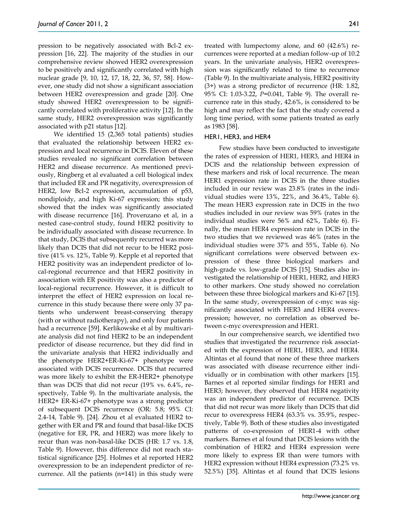pression to be negatively associated with Bcl-2 expression [16, 22]. The majority of the studies in our comprehensive review showed HER2 overexpression to be positively and significantly correlated with high nuclear grade [9, 10, 12, 17, 18, 22, 36, 57, 58]. However, one study did not show a significant association between HER2 overexpression and grade [20]. One study showed HER2 overexpression to be significantly correlated with proliferative activity [12]. In the same study, HER2 overexpression was significantly associated with p21 status [12].

We identified 15 (2,365 total patients) studies that evaluated the relationship between HER2 expression and local recurrence in DCIS. Eleven of these studies revealed no significant correlation between HER2 and disease recurrence. As mentioned previously, Ringberg et al evaluated a cell biological index that included ER and PR negativity, overexpression of HER2, low Bcl-2 expression, accumulation of p53, nondiploidy, and high Ki-67 expression; this study showed that the index was significantly associated with disease recurrence [16]. Provenzano et al, in a nested case-control study, found HER2 positivity to be individually associated with disease recurrence. In that study, DCIS that subsequently recurred was more likely than DCIS that did not recur to be HER2 positive (41% vs. 12%, Table 9). Kepple et al reported that HER2 positivity was an independent predictor of local-regional recurrence and that HER2 positivity in association with ER positivity was also a predictor of local-regional recurrence. However, it is difficult to interpret the effect of HER2 expression on local recurrence in this study because there were only 37 patients who underwent breast-conserving therapy (with or without radiotherapy), and only four patients had a recurrence [59]. Kerlikowske et al by multivariate analysis did not find HER2 to be an independent predictor of disease recurrence, but they did find in the univariate analysis that HER2 individually and the phenotype HER2+ER-Ki-67+ phenotype were associated with DCIS recurrence. DCIS that recurred was more likely to exhibit the ER-HER2+ phenotype than was DCIS that did not recur (19% vs. 6.4%, respectively, Table 9). In the multivariate analysis, the HER2+ ER-Ki-67+ phenotype was a strong predictor of subsequent DCIS recurrence (OR: 5.8; 95% CI: 2.4-14, Table 9). [24]. Zhou et al evaluated HER2 together with ER and PR and found that basal-like DCIS (negative for ER, PR, and HER2) was more likely to recur than was non-basal-like DCIS (HR: 1.7 vs. 1.8, Table 9). However, this difference did not reach statistical significance [25]. Holmes et al reported HER2 overexpression to be an independent predictor of recurrence. All the patients (n=141) in this study were treated with lumpectomy alone, and 60 (42.6%) recurrences were reported at a median follow-up of 10.2 years. In the univariate analysis, HER2 overexpression was significantly related to time to recurrence (Table 9). In the multivariate analysis, HER2 positivity (3+) was a strong predictor of recurrence (HR: 1.82, 95% CI: 1.03-3.22, *P*=0.041, Table 9). The overall recurrence rate in this study, 42.6%, is considered to be high and may reflect the fact that the study covered a long time period, with some patients treated as early as 1983 [58].

#### HER1, HER3, and HER4

Few studies have been conducted to investigate the rates of expression of HER1, HER3, and HER4 in DCIS and the relationship between expression of these markers and risk of local recurrence. The mean HER1 expression rate in DCIS in the three studies included in our review was 23.8% (rates in the individual studies were 13%, 22%, and 36.4%, Table 6). The mean HER3 expression rate in DCIS in the two studies included in our review was 59% (rates in the individual studies were 56% and 62%, Table 6). Finally, the mean HER4 expression rate in DCIS in the two studies that we reviewed was 46% (rates in the individual studies were 37% and 55%, Table 6). No significant correlations were observed between expression of these three biological markers and high-grade vs. low-grade DCIS [15]. Studies also investigated the relationship of HER1, HER2, and HER3 to other markers. One study showed no correlation between these three biological markers and Ki-67 [15]. In the same study, overexpression of c-myc was significantly associated with HER3 and HER4 overexpression; however, no correlation as observed between c-myc overexpression and HER1.

In our comprehensive search, we identified two studies that investigated the recurrence risk associated with the expression of HER1, HER3, and HER4. Altintas et al found that none of these three markers was associated with disease recurrence either individually or in combination with other markers [15]. Barnes et al reported similar findings for HER1 and HER3; however, they observed that HER4 negativity was an independent predictor of recurrence. DCIS that did not recur was more likely than DCIS that did recur to overexpress HER4 (63.3% vs. 35.9%, respectively, Table 9). Both of these studies also investigated patterns of co-expression of HER1-4 with other markers. Barnes et al found that DCIS lesions with the combination of HER2 and HER4 expression were more likely to express ER than were tumors with HER2 expression without HER4 expression (73.2% vs. 52.5%) [35]. Altintas et al found that DCIS lesions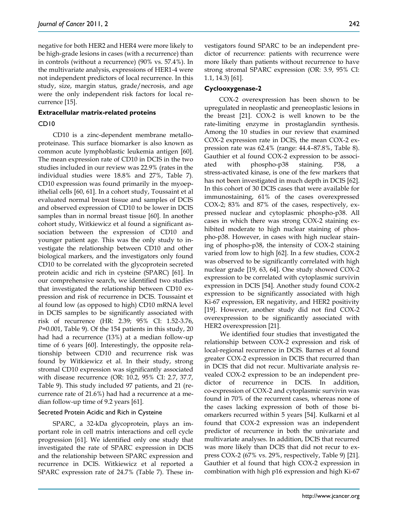negative for both HER2 and HER4 were more likely to be high-grade lesions in cases (with a recurrence) than in controls (without a recurrence) (90% vs. 57.4%). In the multivariate analysis, expressions of HER1-4 were not independent predictors of local recurrence. In this study, size, margin status, grade/necrosis, and age were the only independent risk factors for local recurrence [15].

## **Extracellular matrix-related proteins**

# CD10

CD10 is a zinc-dependent membrane metalloproteinase. This surface biomarker is also known as common acute lymphoblastic leukemia antigen [60]. The mean expression rate of CD10 in DCIS in the two studies included in our review was 22.9% (rates in the individual studies were 18.8% and 27%, Table 7). CD10 expression was found primarily in the myoepithelial cells [60, 61]. In a cohort study, Toussaint et al evaluated normal breast tissue and samples of DCIS and observed expression of CD10 to be lower in DCIS samples than in normal breast tissue [60]. In another cohort study, Witkiewicz et al found a significant association between the expression of CD10 and younger patient age. This was the only study to investigate the relationship between CD10 and other biological markers, and the investigators only found CD10 to be correlated with the glycoprotein secreted protein acidic and rich in cysteine (SPARC) [61]. In our comprehensive search, we identified two studies that investigated the relationship between CD10 expression and risk of recurrence in DCIS. Toussaint et al found low (as opposed to high) CD10 mRNA level in DCIS samples to be significantly associated with risk of recurrence (HR: 2.39; 95% CI: 1.52-3.76, *P*=0.001, Table 9). Of the 154 patients in this study, 20 had had a recurrence (13%) at a median follow-up time of 6 years [60]. Interestingly, the opposite relationship between CD10 and recurrence risk was found by Witkiewicz et al. In their study, strong stromal CD10 expression was significantly associated with disease recurrence (OR: 10.2, 95% CI: 2.7, 37.7, Table 9). This study included 97 patients, and 21 (recurrence rate of 21.6%) had had a recurrence at a median follow-up time of 9.2 years [61].

#### Secreted Protein Acidic and Rich in Cysteine

SPARC, a 32-kDa glycoprotein, plays an important role in cell matrix interactions and cell cycle progression [61]. We identified only one study that investigated the rate of SPARC expression in DCIS and the relationship between SPARC expression and recurrence in DCIS. Witkiewicz et al reported a SPARC expression rate of 24.7% (Table 7). These investigators found SPARC to be an independent predictor of recurrence: patients with recurrence were more likely than patients without recurrence to have strong stromal SPARC expression (OR: 3.9, 95% CI: 1.1, 14.3) [61].

# **Cyclooxygenase-2**

COX-2 overexpression has been shown to be upregulated in neoplastic and preneoplastic lesions in the breast [21]. COX-2 is well known to be the rate-limiting enzyme in prostaglandin synthesis. Among the 10 studies in our review that examined COX-2 expression rate in DCIS, the mean COX-2 expression rate was 62.4% (range: 44.4–87.8%, Table 8). Gauthier et al found COX-2 expression to be associated with phospho-p38 staining. P38, a stress-activated kinase, is one of the few markers that has not been investigated in much depth in DCIS [62]. In this cohort of 30 DCIS cases that were available for immunostaining, 61% of the cases overexpressed COX-2; 83% and 87% of the cases, respectively, expressed nuclear and cytoplasmic phospho-p38. All cases in which there was strong COX-2 staining exhibited moderate to high nuclear staining of phospho-p38. However, in cases with high nuclear staining of phospho-p38, the intensity of COX-2 staining varied from low to high [62]. In a few studies, COX-2 was observed to be significantly correlated with high nuclear grade [19, 63, 64]. One study showed COX-2 expression to be correlated with cytoplasmic survivin expression in DCIS [54]. Another study found COX-2 expression to be significantly associated with high Ki-67 expression, ER negativity, and HER2 positivity [19]. However, another study did not find COX-2 overexpression to be significantly associated with HER2 overexpression [21].

We identified four studies that investigated the relationship between COX-2 expression and risk of local-regional recurrence in DCIS. Barnes et al found greater COX-2 expression in DCIS that recurred than in DCIS that did not recur. Multivariate analysis revealed COX-2 expression to be an independent predictor of recurrence in DCIS. In addition, co-expression of COX-2 and cytoplasmic survivin was found in 70% of the recurrent cases, whereas none of the cases lacking expression of both of those biomarkers recurred within 5 years [54]. Kulkarni et al found that COX-2 expression was an independent predictor of recurrence in both the univariate and multivariate analyses. In addition, DCIS that recurred was more likely than DCIS that did not recur to express COX-2 (67% vs. 29%, respectively, Table 9) [21]. Gauthier et al found that high COX-2 expression in combination with high p16 expression and high Ki-67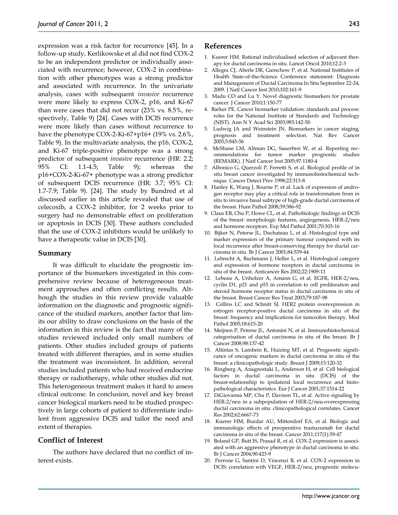expression was a risk factor for recurrence [45]. In a follow-up study, Kerlikowske et al did not find COX-2 to be an independent predictor or individually associated with recurrence; however, COX-2 in combination with other phenotypes was a strong predictor and associated with recurrence. In the univariate analysis, cases with subsequent *invasive* recurrence were more likely to express COX-2, p16, and Ki-67 than were cases that did not recur (23% vs. 8.5%, respectively, Table 9) [24]. Cases with DCIS recurrence were more likely than cases without recurrence to have the phenotype COX-2-Ki-67+p16+ (19% vs. 2.6%, Table 9). In the multivariate analysis, the p16, COX-2, and Ki-67 triple-positive phenotype was a strong predictor of subsequent *invasive* recurrence (HR: 2.2; 95% CI: 1.1-4.5; Table 9); whereas the p16+COX-2-Ki-67+ phenotype was a strong predictor of subsequent DCIS recurrence (HR: 3.7; 95% CI: 1.7-7.9; Table 9). [24]. The study by Bundred et al discussed earlier in this article revealed that use of celecoxib, a COX-2 inhibitor, for 2 weeks prior to surgery had no demonstrable effect on proliferation or apoptosis in DCIS [30]. These authors concluded that the use of COX-2 inhibitors would be unlikely to have a therapeutic value in DCIS [30].

#### **Summary**

It was difficult to elucidate the prognostic importance of the biomarkers investigated in this comprehensive review because of heterogeneous treatment approaches and often conflicting results. Although the studies in this review provide valuable information on the diagnostic and prognostic significance of the studied markers, another factor that limits our ability to draw conclusions on the basis of the information in this review is the fact that many of the studies reviewed included only small numbers of patients. Other studies included groups of patients treated with different therapies, and in some studies the treatment was inconsistent. In addition, several studies included patients who had received endocrine therapy or radiotherapy, while other studies did not. This heterogeneous treatment makes it hard to assess clinical outcome. In conclusion, novel and key breast cancer biological markers need to be studied prospectively in large cohorts of patient to differentiate indolent from aggressive DCIS and tailor the need and extent of therapies.

#### **Conflict of Interest**

The authors have declared that no conflict of interest exists.

#### **References**

- 1. Kuerer HM. Rational individualised selection of adjuvant therapy for ductal carcinoma in situ. Lancet Oncol 2010;12:2-3
- 2. Allegra CJ, Aberle DR, Ganschow P, et al. National Institutes of Health State-of-the-Science Conference statement: Diagnosis and Management of Ductal Carcinoma In Situ September 22-24, 2009. J Natl Cancer Inst 2010;102:161-9
- 3. Madu CO and Lu Y. Novel diagnostic biomarkers for prostate cancer. J Cancer 2010;1:150-77
- 4. Barker PE. Cancer biomarker validation: standards and process: roles for the National Institute of Standards and Technology (NIST). Ann N Y Acad Sci 2003;983:142-50
- 5. Ludwig JA and Weinstein JN. Biomarkers in cancer staging, prognosis and treatment selection. Nat Rev Cancer 2005;5:845-56
- 6. McShane LM, Altman DG, Sauerbrei W, et al. Reporting recommendations for tumor marker prognostic studies (REMARK). J Natl Cancer Inst 2005;97:1180-4
- 7. Albonico G, Querzoli P, Ferretti S, et al. Biological profile of in situ breast cancer investigated by immunohistochemical technique. Cancer Detect Prev 1998;22:313-8
- 8. Hanley K, Wang J, Bourne P, et al. Lack of expression of androgen receptor may play a critical role in transformation from in situ to invasive basal subtype of high-grade ductal carcinoma of the breast. Hum Pathol 2008;39:386-92
- 9. Claus EB, Chu P, Howe CL, et al. Pathobiologic findings in DCIS of the breast: morphologic features, angiogenesis, HER-2/neu and hormone receptors. Exp Mol Pathol 2001;70:303-16
- 10. Bijker N, Peterse JL, Duchateau L, et al. Histological type and marker expression of the primary tumour compared with its local recurrence after breast-conserving therapy for ductal carcinoma in situ. Br J Cancer 2001;84:539-44
- 11. Lebrecht A, Buchmann J, Hefler L, et al. Histological category and expression of hormone receptors in ductal carcinoma in situ of the breast. Anticancer Res 2002;22:1909-11
- 12. Lebeau A, Unholzer A, Amann G, et al. EGFR, HER-2/neu, cyclin D1, p21 and p53 in correlation to cell proliferation and steroid hormone receptor status in ductal carcinoma in situ of the breast. Breast Cancer Res Treat 2003;79:187-98
- 13. Collins LC and Schnitt SJ. HER2 protein overexpression in estrogen receptor-positive ductal carcinoma in situ of the breast: frequency and implications for tamoxifen therapy. Mod Pathol 2005;18:615-20
- 14. Meijnen P, Peterse JL, Antonini N, et al. Immunohistochemical categorisation of ductal carcinoma in situ of the breast. Br J Cancer 2008;98:137-42
- 15. Altintas S, Lambein K, Huizing MT, et al. Prognostic significance of oncogenic markers in ductal carcinoma in situ of the breast: a clinicopathologic study. Breast J 2009;15:120-32
- 16. Ringberg A, Anagnostaki L, Anderson H, et al. Cell biological factors in ductal carcinoma in situ (DCIS) of the breast-relationship to ipsilateral local recurrence and histopathological characteristics. Eur J Cancer 2001;37:1514-22
- 17. DiGiovanna MP, Chu P, Davison TL, et al. Active signaling by HER-2/neu in a subpopulation of HER-2/neu-overexpressing ductal carcinoma in situ: clinicopathological correlates. Cancer Res 2002;62:6667-73
- 18. Kuerer HM, Buzdar AU, Mittendorf EA, et al. Biologic and immunologic effects of preoperative trastuzumab for ductal carcinoma in situ of the breast. Cancer 2011;117(1):39-47
- 19. Boland GP, Butt IS, Prasad R, et al. COX-2 expression is associated with an aggressive phenotype in ductal carcinoma in situ. Br J Cancer 2004;90:423-9
- 20. Perrone G, Santini D, Vincenzi B, et al. COX-2 expression in DCIS: correlation with VEGF, HER-2/neu, prognostic molecu-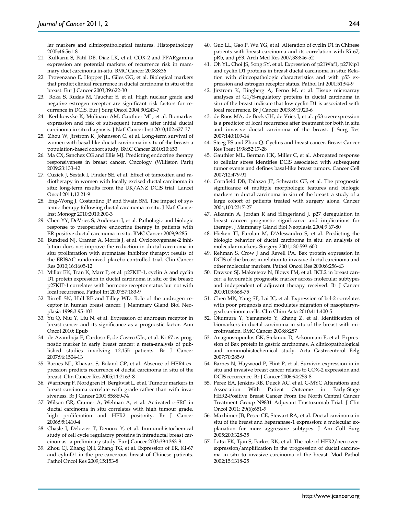lar markers and clinicopathological features. Histopathology 2005;46:561-8

- 21. Kulkarni S, Patil DB, Diaz LK, et al. COX-2 and PPARgamma expression are potential markers of recurrence risk in mammary duct carcinoma in-situ. BMC Cancer 2008;8:36
- 22. Provenzano E, Hopper JL, Giles GG, et al. Biological markers that predict clinical recurrence in ductal carcinoma in situ of the breast. Eur J Cancer 2003;39:622-30
- 23. Roka S, Rudas M, Taucher S, et al. High nuclear grade and negative estrogen receptor are significant risk factors for recurrence in DCIS. Eur J Surg Oncol 2004;30:243-7
- 24. Kerlikowske K, Molinaro AM, Gauthier ML, et al. Biomarker expression and risk of subsequent tumors after initial ductal carcinoma in situ diagnosis. J Natl Cancer Inst 2010;102:627-37
- 25. Zhou W, Jirstrom K, Johansson C, et al. Long-term survival of women with basal-like ductal carcinoma in situ of the breast: a population-based cohort study. BMC Cancer 2010;10:653
- 26. Ma CX, Sanchez CG and Ellis MJ. Predicting endocrine therapy responsiveness in breast cancer. Oncology (Williston Park) 2009;23:133-42
- 27. Cuzick J, Sestak I, Pinder SE, et al. Effect of tamoxifen and radiotherapy in women with locally excised ductal carcinoma in situ: long-term results from the UK/ANZ DCIS trial. Lancet Oncol 2011;12:21-9
- 28. Eng-Wong J, Costantino JP and Swain SM. The impact of systemic therapy following ductal carcinoma in situ. J Natl Cancer Inst Monogr 2010;2010:200-3
- 29. Chen YY, DeVries S, Anderson J, et al. Pathologic and biologic response to preoperative endocrine therapy in patients with ER-positive ductal carcinoma in situ. BMC Cancer 2009;9:285
- 30. Bundred NJ, Cramer A, Morris J, et al. Cyclooxygenase-2 inhibition does not improve the reduction in ductal carcinoma in situ proliferation with aromatase inhibitor therapy: results of the ERISAC randomized placebo-controlled trial. Clin Cancer Res 2010;16:1605-12
- 31. Millar EK, Tran K, Marr P, et al. p27KIP-1, cyclin A and cyclin D1 protein expression in ductal carcinoma in situ of the breast: p27KIP-1 correlates with hormone receptor status but not with local recurrence. Pathol Int 2007;57:183-9
- 32. Birrell SN, Hall RE and Tilley WD. Role of the androgen receptor in human breast cancer. J Mammary Gland Biol Neoplasia 1998;3:95-103
- 33. Yu Q, Niu Y, Liu N, et al. Expression of androgen receptor in breast cancer and its significance as a prognostic factor. Ann Oncol 2010; Epub
- 34. de Azambuja E, Cardoso F, de Castro GJr., et al. Ki-67 as prognostic marker in early breast cancer: a meta-analysis of published studies involving 12,155 patients. Br J Cancer 2007;96:1504-13
- 35. Barnes NL, Khavari S, Boland GP, et al. Absence of HER4 expression predicts recurrence of ductal carcinoma in situ of the breast. Clin Cancer Res 2005;11:2163-8
- 36. Warnberg F, Nordgren H, Bergkvist L, et al. Tumour markers in breast carcinoma correlate with grade rather than with invasiveness. Br J Cancer 2001;85:869-74
- 37. Wilson GR, Cramer A, Welman A, et al. Activated c-SRC in ductal carcinoma in situ correlates with high tumour grade, high proliferation and HER2 positivity. Br J Cancer 2006;95:1410-4
- 38. Chasle J, Delozier T, Denoux Y, et al. Immunohistochemical study of cell cycle regulatory proteins in intraductal breast carcinomas--a preliminary study. Eur J Cancer 2003;39:1363-9
- 39. Zhou CJ, Zhang QH, Zhang TG, et al. Expression of ER, Ki-67 and cylinD1 in the pre-cancerous breast of Chinese patients. Pathol Oncol Res 2009;15:153-8
- 40. Guo LL, Gao P, Wu YG, et al. Alteration of cyclin D1 in Chinese patients with breast carcinoma and its correlation with Ki-67, pRb, and p53. Arch Med Res 2007;38:846-52
- 41. Oh YL, Choi JS, Song SY, et al. Expression of p21Waf1, p27Kip1 and cyclin D1 proteins in breast ductal carcinoma in situ: Relation with clinicopathologic characteristics and with p53 expression and estrogen receptor status. Pathol Int 2001;51:94-9
- 42. Jirstrom K, Ringberg A, Ferno M, et al. Tissue microarray analyses of G1/S-regulatory proteins in ductal carcinoma in situ of the breast indicate that low cyclin D1 is associated with local recurrence. Br J Cancer 2003;89:1920-6
- 43. de Roos MA, de Bock GH, de Vries J, et al. p53 overexpression is a predictor of local recurrence after treatment for both in situ and invasive ductal carcinoma of the breast. J Surg Res 2007;140:109-14
- 44. Steeg PS and Zhou Q. Cyclins and breast cancer. Breast Cancer Res Treat 1998;52:17-28
- 45. Gauthier ML, Berman HK, Miller C, et al. Abrogated response to cellular stress identifies DCIS associated with subsequent tumor events and defines basal-like breast tumors. Cancer Cell 2007;12:479-91
- 46. Cornfield DB, Palazzo JP, Schwartz GF, et al. The prognostic significance of multiple morphologic features and biologic markers in ductal carcinoma in situ of the breast: a study of a large cohort of patients treated with surgery alone. Cancer 2004;100:2317-27
- 47. Alkarain A, Jordan R and Slingerland J. p27 deregulation in breast cancer: prognostic significance and implications for therapy. J Mammary Gland Biol Neoplasia 2004;9:67-80
- 48. Hieken TJ, Farolan M, D'Alessandro S, et al. Predicting the biologic behavior of ductal carcinoma in situ: an analysis of molecular markers. Surgery 2001;130:593-600
- 49. Rehman S, Crow J and Revell PA. Bax protein expression in DCIS of the breast in relation to invasive ductal carcinoma and other molecular markers. Pathol Oncol Res 2000;6:256-63
- 50. Dawson SJ, Makretsov N, Blows FM, et al. BCL2 in breast cancer: a favourable prognostic marker across molecular subtypes and independent of adjuvant therapy received. Br J Cancer 2010;103:668-75
- 51. Chen MK, Yang SF, Lai JC, et al. Expression of bcl-2 correlates with poor prognosis and modulates migration of nasopharyngeal carcinoma cells. Clin Chim Acta 2010;411:400-5
- 52. Okumura Y, Yamamoto Y, Zhang Z, et al. Identification of biomarkers in ductal carcinoma in situ of the breast with microinvasion. BMC Cancer 2008;8:287
- 53. Anagnostopoulos GK, Stefanou D, Arkoumani E, et al. Expression of Bax protein in gastric carcinomas. A clinicopathological and immunohistochemical study. Acta Gastroenterol Belg 2007;70:285-9
- 54. Barnes N, Haywood P, Flint P, et al. Survivin expression in in situ and invasive breast cancer relates to COX-2 expression and DCIS recurrence. Br J Cancer 2006;94:253-8
- 55. Perez EA, Jenkins RB, Dueck AC, et al. C-MYC Alterations and Association With Patient Outcome in Early-Stage HER2-Positive Breast Cancer From the North Central Cancer Treatment Group N9831 Adjuvant Trastuzumab Trial. J Clin Oncol 2011; 29(6):651-9
- 56. Maxhimer JB, Pesce CE, Stewart RA, et al. Ductal carcinoma in situ of the breast and heparanase-1 expression: a molecular explanation for more aggressive subtypes. J Am Coll Surg 2005;200:328-35
- 57. Latta EK, Tjan S, Parkes RK, et al. The role of HER2/neu overexpression/amplification in the progression of ductal carcinoma in situ to invasive carcinoma of the breast. Mod Pathol 2002;15:1318-25

244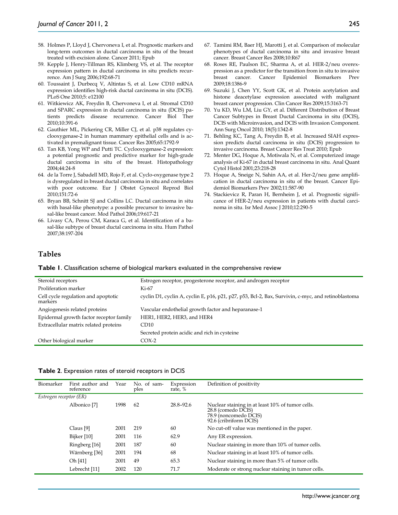- 58. Holmes P, Lloyd J, Chervoneva I, et al. Prognostic markers and long-term outcomes in ductal carcinoma in situ of the breast treated with excision alone. Cancer 2011; Epub
- 59. Kepple J, Henry-Tillman RS, Klimberg VS, et al. The receptor expression pattern in ductal carcinoma in situ predicts recurrence. Am J Surg 2006;192:68-71
- 60. Toussaint J, Durbecq V, Altintas S, et al. Low CD10 mRNA expression identifies high-risk ductal carcinoma in situ (DCIS). PLoS One 2010;5: e12100
- 61. Witkiewicz AK, Freydin B, Chervoneva I, et al. Stromal CD10 and SPARC expression in ductal carcinoma in situ (DCIS) patients predicts disease recurrence. Cancer Biol Ther 2010;10:391-6
- 62. Gauthier ML, Pickering CR, Miller CJ, et al. p38 regulates cyclooxygenase-2 in human mammary epithelial cells and is activated in premalignant tissue. Cancer Res 2005;65:1792-9
- 63. Tan KB, Yong WP and Putti TC. Cyclooxygenase-2 expression: a potential prognostic and predictive marker for high-grade ductal carcinoma in situ of the breast. Histopathology 2004;44:24-8
- 64. de la Torre J, Sabadell MD, Rojo F, et al. Cyclo-oxygenase type 2 is dysregulated in breast ductal carcinoma in situ and correlates with poor outcome. Eur J Obstet Gynecol Reprod Biol 2010;151:72-6
- 65. Bryan BB, Schnitt SJ and Collins LC. Ductal carcinoma in situ with basal-like phenotype: a possible precursor to invasive basal-like breast cancer. Mod Pathol 2006;19:617-21
- 66. Livasy CA, Perou CM, Karaca G, et al. Identification of a basal-like subtype of breast ductal carcinoma in situ. Hum Pathol 2007;38:197-204
- 67. Tamimi RM, Baer HJ, Marotti J, et al. Comparison of molecular phenotypes of ductal carcinoma in situ and invasive breast cancer. Breast Cancer Res 2008;10:R67
- 68. Roses RE, Paulson EC, Sharma A, et al. HER-2/neu overexpression as a predictor for the transition from in situ to invasive breast cancer. Cancer Epidemiol Biomarkers Prev 2009;18:1386-9
- 69. Suzuki J, Chen YY, Scott GK, et al. Protein acetylation and histone deacetylase expression associated with malignant breast cancer progression. Clin Cancer Res 2009;15:3163-71
- 70. Yu KD, Wu LM, Liu GY, et al. Different Distribution of Breast Cancer Subtypes in Breast Ductal Carcinoma in situ (DCIS), DCIS with Microinvasion, and DCIS with Invasion Component. Ann Surg Oncol 2010; 18(5):1342-8
- 71. Behling KC, Tang A, Freydin B, et al. Increased SIAH expression predicts ductal carcinoma in situ (DCIS) progression to invasive carcinoma. Breast Cancer Res Treat 2010; Epub
- 72. Menter DG, Hoque A, Motiwala N, et al. Computerized image analysis of Ki-67 in ductal breast carcinoma in situ. Anal Quant Cytol Histol 2001;23:218-28
- 73. Hoque A, Sneige N, Sahin AA, et al. Her-2/neu gene amplification in ductal carcinoma in situ of the breast. Cancer Epidemiol Biomarkers Prev 2002;11:587-90
- 74. Stackievicz R, Paran H, Bernheim J, et al. Prognostic significance of HER-2/neu expression in patients with ductal carcinoma in situ. Isr Med Assoc J 2010;12:290-5

# **Tables**

| Table 1. Classification scheme of biological markers evaluated in the comprehensive review |  |  |  |  |  |  |  |  |  |
|--------------------------------------------------------------------------------------------|--|--|--|--|--|--|--|--|--|
|--------------------------------------------------------------------------------------------|--|--|--|--|--|--|--|--|--|

| Steroid receptors                              | Estrogen receptor, progesterone receptor, and androgen receptor                                    |
|------------------------------------------------|----------------------------------------------------------------------------------------------------|
| Proliferation marker                           | Ki-67                                                                                              |
| Cell cycle regulation and apoptotic<br>markers | cyclin D1, cyclin A, cyclin E, p16, p21, p27, p53, Bcl-2, Bax, Survivin, c-myc, and retinoblastoma |
| Angiogenesis related proteins                  | Vascular endothelial growth factor and heparanase-1                                                |
| Epidermal growth factor receptor family        | HER1, HER2, HER3, and HER4                                                                         |
| Extracellular matrix related proteins          | CD <sub>10</sub>                                                                                   |
|                                                | Secreted protein acidic and rich in cysteine                                                       |
| Other biological marker                        | COX-2                                                                                              |

#### **Table 2**. Expression rates of steroid receptors in DCIS

| Biomarker              | First author and<br>reference | Year | No. of sam-<br>ples | Expression<br>rate, % | Definition of positivity                                                                                                  |
|------------------------|-------------------------------|------|---------------------|-----------------------|---------------------------------------------------------------------------------------------------------------------------|
| Estrogen receptor (ER) |                               |      |                     |                       |                                                                                                                           |
|                        | Albonico <sup>[7]</sup>       | 1998 | 62                  | 28.8-92.6             | Nuclear staining in at least 10% of tumor cells.<br>28.8 (comedo DCIS)<br>78.9 (noncomedo DCIS)<br>92.6 (cribriform DCIS) |
|                        | Claus $[9]$                   | 2001 | 219                 | 60                    | No cut-off value was mentioned in the paper.                                                                              |
|                        | Bijker [10]                   | 2001 | 116                 | 62.9                  | Any ER expression.                                                                                                        |
|                        | Ringberg [16]                 | 2001 | 187                 | 60                    | Nuclear staining in more than 10% of tumor cells.                                                                         |
|                        | Wärnberg [36]                 | 2001 | 194                 | 68                    | Nuclear staining in at least 10% of tumor cells.                                                                          |
|                        | Oh [41]                       | 2001 | 49                  | 65.3                  | Nuclear staining in more than 5% of tumor cells.                                                                          |
|                        | Lebrecht [11]                 | 2002 | 120                 | 71.7                  | Moderate or strong nuclear staining in tumor cells.                                                                       |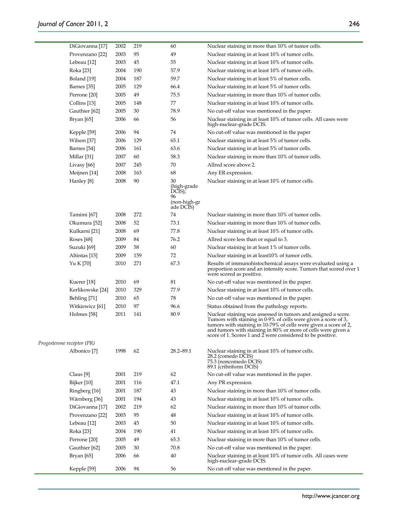|                            | DiGiovanna [17]         | 2002 | 219    | 60                                                             | Nuclear staining in more than 10% of tumor cells.                                                                                                                                                                                                                                                                               |
|----------------------------|-------------------------|------|--------|----------------------------------------------------------------|---------------------------------------------------------------------------------------------------------------------------------------------------------------------------------------------------------------------------------------------------------------------------------------------------------------------------------|
|                            | Provenzano [22]         | 2003 | 95     | 49                                                             | Nuclear staining in at least 10% of tumor cells.                                                                                                                                                                                                                                                                                |
|                            | Lebeau [12]             | 2003 | $45\,$ | 55                                                             | Nuclear staining in at least 10% of tumor cells.                                                                                                                                                                                                                                                                                |
|                            | Roka [23]               | 2004 | 190    | 57.9                                                           | Nuclear staining in at least 10% of tumor cells.                                                                                                                                                                                                                                                                                |
|                            | Boland [19]             | 2004 | 187    | 59.7                                                           | Nuclear staining in at least 5% of tumor cells.                                                                                                                                                                                                                                                                                 |
|                            | Barnes [35]             | 2005 | 129    | 66.4                                                           | Nuclear staining in at least 5% of tumor cells.                                                                                                                                                                                                                                                                                 |
|                            | Perrone [20]            | 2005 | 49     | 75.5                                                           | Nuclear staining in more than 10% of tumor cells.                                                                                                                                                                                                                                                                               |
|                            | Collins [13]            | 2005 | 148    | 77                                                             | Nuclear staining in at least 10% of tumor cells.                                                                                                                                                                                                                                                                                |
|                            | Gauthier [62]           | 2005 | 30     | 78.9                                                           | No cut-off value was mentioned in the paper.                                                                                                                                                                                                                                                                                    |
|                            | Bryan [65]              | 2006 | 66     | 56                                                             | Nuclear staining in at least 10% of tumor cells. All cases were<br>high-nuclear-grade DCIS.                                                                                                                                                                                                                                     |
|                            | Kepple [59]             | 2006 | 94     | 74                                                             | No cut-off value was mentioned in the paper                                                                                                                                                                                                                                                                                     |
|                            | Wilson [37]             | 2006 | 129    | 65.1                                                           | Nuclear staining in at least 5% of tumor cells.                                                                                                                                                                                                                                                                                 |
|                            | Barnes [54]             | 2006 | 161    | 63.6                                                           | Nuclear staining in at least 5% of tumor cells.                                                                                                                                                                                                                                                                                 |
|                            | Millar [31]             | 2007 | 60     | 58.3                                                           | Nuclear staining in more than 10% of tumor cells.                                                                                                                                                                                                                                                                               |
|                            | Livasy [66]             | 2007 | 245    | 70                                                             | Allred score above 2.                                                                                                                                                                                                                                                                                                           |
|                            | Meijnen [14]            | 2008 | 163    | 68                                                             | Any ER expression.                                                                                                                                                                                                                                                                                                              |
|                            | Hanley [8]              | 2008 | 90     | 30<br>(high-grade<br>DCIS);<br>96<br>(non-high-gr<br>ade DCIS) | Nuclear staining in at least 10% of tumor cells.                                                                                                                                                                                                                                                                                |
|                            | Tamimi [67]             | 2008 | 272    | 74                                                             | Nuclear staining in more than 10% of tumor cells.                                                                                                                                                                                                                                                                               |
|                            | Okumura [52]            | 2008 | 52     | 73.1                                                           | Nuclear staining in more than 10% of tumor cells.                                                                                                                                                                                                                                                                               |
|                            | Kulkarni [21]           | 2008 | 69     | 77.8                                                           | Nuclear staining in at least 10% of tumor cells.                                                                                                                                                                                                                                                                                |
|                            | Roses [68]              | 2009 | 84     | 76.2                                                           | Allred score less than or equal to 3.                                                                                                                                                                                                                                                                                           |
|                            | Suzuki [69]             | 2009 | 58     | 60                                                             | Nuclear staining in at least 1% of tumor cells.                                                                                                                                                                                                                                                                                 |
|                            | Altintas [15]           | 2009 | 159    | 72                                                             | Nuclear staining in at least10% of tumor cells.                                                                                                                                                                                                                                                                                 |
|                            | Yu K [70]               | 2010 | 271    | 67.3                                                           | Results of immunohistochemical assays were evaluated using a<br>proportion score and an intensity score. Tumors that scored over 1<br>were scored as positive.                                                                                                                                                                  |
|                            | Kuerer [18]             | 2010 | 69     | 81                                                             | No cut-off value was mentioned in the paper.                                                                                                                                                                                                                                                                                    |
|                            | Kerlikowske [24]        | 2010 | 329    | 77.9                                                           | Nuclear staining in at least 10% of tumor cells.                                                                                                                                                                                                                                                                                |
|                            | Behling [71]            | 2010 | 65     | 78                                                             | No cut-off value was mentioned in the paper.                                                                                                                                                                                                                                                                                    |
|                            | Witkiewicz [61]         | 2010 | 97     | 96.6                                                           | Status obtained from the pathology reports.                                                                                                                                                                                                                                                                                     |
|                            | Holmes [58]             | 2011 | 141    | 80.9                                                           | Nuclear staining was assessed in tumors and assigned a score. Tumors with staining in 0-9% of cells were given a score of 3,<br>tumors with staining in 10-79% of cells were given a score of 2,<br>and tumors with staining in 80% or more of cells were given a<br>score of 1. Scores 1 and 2 were considered to be positive. |
| Progesterone receptor (PR) |                         |      |        |                                                                |                                                                                                                                                                                                                                                                                                                                 |
|                            | Albonico <sup>[7]</sup> | 1998 | 62     | 28.2-89.1                                                      | Nuclear staining in at least 10% of tumor cells.<br>28.2 (comedo DCIS)<br>75.3 (noncomedo DCIS)<br>89.1 (cribriform DCIS)                                                                                                                                                                                                       |
|                            | Claus $[9]$             | 2001 | 219    | 62                                                             | No cut-off value was mentioned in the paper.                                                                                                                                                                                                                                                                                    |
|                            | Bijker [10]             | 2001 | 116    | 47.1                                                           | Any PR expression.                                                                                                                                                                                                                                                                                                              |
|                            | Ringberg [16]           | 2001 | 187    | 43                                                             | Nuclear staining in more than 10% of tumor cells.                                                                                                                                                                                                                                                                               |
|                            | Wärnberg [36]           | 2001 | 194    | 43                                                             | Nuclear staining in at least 10% of tumor cells.                                                                                                                                                                                                                                                                                |
|                            | DiGiovanna [17]         | 2002 | 219    | 62                                                             | Nuclear staining in more than 10% of tumor cells.                                                                                                                                                                                                                                                                               |
|                            | Provenzano [22]         | 2003 | 95     | 48                                                             | Nuclear staining in at least 10% of tumor cells.                                                                                                                                                                                                                                                                                |
|                            | Lebeau [12]             | 2003 | 45     | 50                                                             | Nuclear staining in at least 10% of tumor cells.                                                                                                                                                                                                                                                                                |
|                            | Roka [23]               | 2004 | 190    | 41                                                             | Nuclear staining in at least 10% of tumor cells.                                                                                                                                                                                                                                                                                |
|                            | Perrone [20]            | 2005 | 49     | 65.3                                                           | Nuclear staining in more than 10% of tumor cells.                                                                                                                                                                                                                                                                               |
|                            | Gauthier [62]           | 2005 | 30     | 70.8                                                           | No cut-off value was mentioned in the paper.                                                                                                                                                                                                                                                                                    |
|                            | Bryan [65]              | 2006 | 66     | 40                                                             | Nuclear staining in at least 10% of tumor cells. All cases were<br>high-nuclear-grade DCIS.                                                                                                                                                                                                                                     |
|                            | Kepple [59]             | 2006 | 94     | 56                                                             | No cut-off value was mentioned in the paper.                                                                                                                                                                                                                                                                                    |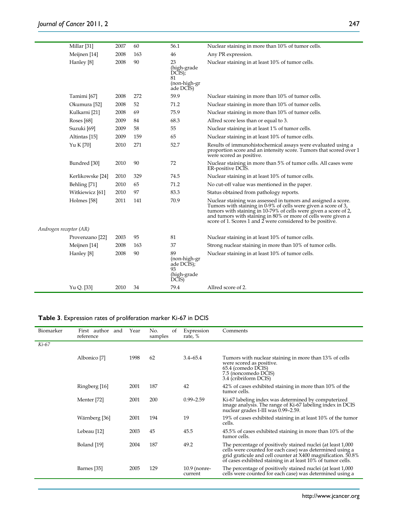|                        | Millar [31]      | 2007 | 60  | 56.1                                                                         | Nuclear staining in more than 10% of tumor cells.                                                                                                                                                                                                                                                                                               |
|------------------------|------------------|------|-----|------------------------------------------------------------------------------|-------------------------------------------------------------------------------------------------------------------------------------------------------------------------------------------------------------------------------------------------------------------------------------------------------------------------------------------------|
|                        | Meijnen [14]     | 2008 | 163 | 46                                                                           | Any PR expression.                                                                                                                                                                                                                                                                                                                              |
|                        | Hanley [8]       | 2008 | 90  | 23<br>(high-grade<br>$\overline{DC}$ IS);<br>81<br>(non-high-gr<br>ade DCIS) | Nuclear staining in at least 10% of tumor cells.                                                                                                                                                                                                                                                                                                |
|                        | Tamimi [67]      | 2008 | 272 | 59.9                                                                         | Nuclear staining in more than 10% of tumor cells.                                                                                                                                                                                                                                                                                               |
|                        | Okumura [52]     | 2008 | 52  | 71.2                                                                         | Nuclear staining in more than 10% of tumor cells.                                                                                                                                                                                                                                                                                               |
|                        | Kulkarni [21]    | 2008 | 69  | 75.9                                                                         | Nuclear staining in more than 10% of tumor cells.                                                                                                                                                                                                                                                                                               |
|                        | Roses $[68]$     | 2009 | 84  | 68.3                                                                         | Allred score less than or equal to 3.                                                                                                                                                                                                                                                                                                           |
|                        | Suzuki [69]      | 2009 | 58  | 55                                                                           | Nuclear staining in at least 1% of tumor cells.                                                                                                                                                                                                                                                                                                 |
|                        | Altintas [15]    | 2009 | 159 | 65                                                                           | Nuclear staining in at least 10% of tumor cells.                                                                                                                                                                                                                                                                                                |
|                        | Yu K [70]        | 2010 | 271 | 52.7                                                                         | Results of immunohistochemical assays were evaluated using a<br>proportion score and an intensity score. Tumors that scored over 1<br>were scored as positive.                                                                                                                                                                                  |
|                        | Bundred [30]     | 2010 | 90  | 72                                                                           | Nuclear staining in more than 5% of tumor cells. All cases were<br>ER-positive DCIS.                                                                                                                                                                                                                                                            |
|                        | Kerlikowske [24] | 2010 | 329 | 74.5                                                                         | Nuclear staining in at least 10% of tumor cells.                                                                                                                                                                                                                                                                                                |
|                        | Behling [71]     | 2010 | 65  | 71.2                                                                         | No cut-off value was mentioned in the paper.                                                                                                                                                                                                                                                                                                    |
|                        | Witkiewicz [61]  | 2010 | 97  | 83.3                                                                         | Status obtained from pathology reports.                                                                                                                                                                                                                                                                                                         |
|                        | Holmes [58]      | 2011 | 141 | 70.9                                                                         | Nuclear staining was assessed in tumors and assigned a score.<br>Tumors with staining in 0-9% of cells were given a score of 3,<br>tumors with staining in 10-79% of cells were given a score of 2,<br>and tumors with staining in 80% or more of cells were given a<br>score of 1. Scores 1 and $\overline{2}$ were considered to be positive. |
| Androgen receptor (AR) |                  |      |     |                                                                              |                                                                                                                                                                                                                                                                                                                                                 |
|                        | Provenzano [22]  | 2003 | 95  | 81                                                                           | Nuclear staining in at least 10% of tumor cells.                                                                                                                                                                                                                                                                                                |
|                        | Meijnen [14]     | 2008 | 163 | 37                                                                           | Strong nuclear staining in more than 10% of tumor cells.                                                                                                                                                                                                                                                                                        |
|                        | Hanley [8]       | 2008 | 90  | 89<br>(non-high-gr<br>ade DCIS);<br>93<br>(high-grade<br>DCIS)               | Nuclear staining in at least 10% of tumor cells.                                                                                                                                                                                                                                                                                                |
|                        | Yu Q. [33]       | 2010 | 34  | 79.4                                                                         | Allred score of 2.                                                                                                                                                                                                                                                                                                                              |

**Table 3**. Expression rates of proliferation marker Ki-67 in DCIS

| Biomarker | First author and<br>reference | Year | No.<br>of<br>samples | Expression<br>rate, %     | Comments                                                                                                                                                                                                                                               |
|-----------|-------------------------------|------|----------------------|---------------------------|--------------------------------------------------------------------------------------------------------------------------------------------------------------------------------------------------------------------------------------------------------|
| $Ki-67$   |                               |      |                      |                           |                                                                                                                                                                                                                                                        |
|           | Albonico [7]                  | 1998 | 62                   | $3.4 - 65.4$              | Tumors with nuclear staining in more than 13% of cells<br>were scored as positive.<br>65.4 (comedo DCIS)<br>7.5 (noncomedo DCIS)<br>3.4 (cribriform DCIS)                                                                                              |
|           | Ringberg [16]                 | 2001 | 187                  | 42                        | 42% of cases exhibited staining in more than 10% of the<br>tumor cells.                                                                                                                                                                                |
|           | Menter [72]                   | 2001 | 200                  | $0.99 - 2.59$             | Ki-67 labeling index was determined by computerized<br>image analysis. The range of Ki-67 labeling index in DCIS<br>nuclear grades I-III was 0.99-2.59.                                                                                                |
|           | Wärnberg [36]                 | 2001 | 194                  | 19                        | 19% of cases exhibited staining in at least 10% of the tumor<br>cells.                                                                                                                                                                                 |
|           | Lebeau [12]                   | 2003 | 45                   | 45.5                      | 45.5% of cases exhibited staining in more than 10% of the<br>tumor cells.                                                                                                                                                                              |
|           | Boland [19]                   | 2004 | 187                  | 49.2                      | The percentage of positively stained nuclei (at least 1,000<br>cells were counted for each case) was determined using a<br>grid graticule and cell counter at X400 magnification. 50.8%<br>of cases exhibited staining in at least 10% of tumor cells. |
|           | Barnes [35]                   | 2005 | 129                  | $10.9$ (nonre-<br>current | The percentage of positively stained nuclei (at least 1,000)<br>cells were counted for each case) was determined using a                                                                                                                               |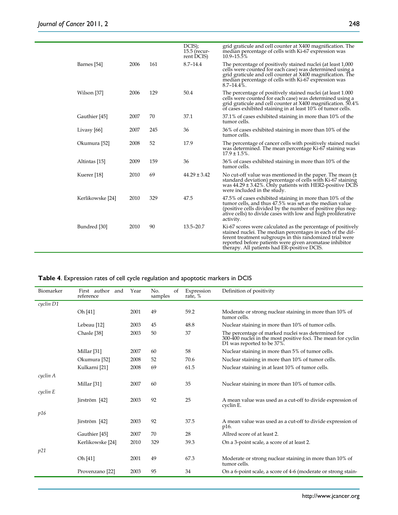|                  |      |     | $DCIS$ );<br>15.5 (recur-<br>rent DCIS) | grid graticule and cell counter at X400 magnification. The<br>median percentage of cells with Ki-67 expression was<br>10.9-15.5%                                                                                                                                                                 |
|------------------|------|-----|-----------------------------------------|--------------------------------------------------------------------------------------------------------------------------------------------------------------------------------------------------------------------------------------------------------------------------------------------------|
| Barnes [54]      | 2006 | 161 | $8.7 - 14.4$                            | The percentage of positively stained nuclei (at least 1,000<br>cells were counted for each case) was determined using a<br>grid graticule and cell counter at X400 magnification. The<br>median percentage of cells with Ki-67 expression was<br>$8.7 - 14.4\%$ .                                |
| Wilson [37]      | 2006 | 129 | 50.4                                    | The percentage of positively stained nuclei (at least 1.000<br>cells were counted for each case) was determined using a<br>grid graticule and cell counter at X400 magnification. 50.4%<br>of cases exhibited staining in at least 10% of tumor cells.                                           |
| Gauthier [45]    | 2007 | 70  | 37.1                                    | 37.1% of cases exhibited staining in more than 10% of the<br>tumor cells.                                                                                                                                                                                                                        |
| Livasy $[66]$    | 2007 | 245 | 36                                      | 36% of cases exhibited staining in more than 10% of the<br>tumor cells.                                                                                                                                                                                                                          |
| Okumura [52]     | 2008 | 52  | 17.9                                    | The percentage of cancer cells with positively stained nuclei<br>was determined. The mean percentage Ki-67 staining was<br>$17.9 \pm 1.5\%$ .                                                                                                                                                    |
| Altintas [15]    | 2009 | 159 | 36                                      | 36% of cases exhibited staining in more than 10% of the<br>tumor cells.                                                                                                                                                                                                                          |
| Kuerer [18]      | 2010 | 69  | $44.29 \pm 3.42$                        | No cut-off value was mentioned in the paper. The mean $(±$<br>standard deviation) percentage of cells with Ki-67 staining<br>was $44.29 \pm 3.42\%$ . Only patients with HER2-positive DCIS<br>were included in the study.                                                                       |
| Kerlikowske [24] | 2010 | 329 | 47.5                                    | 47.5% of cases exhibited staining in more than 10% of the<br>tumor cells, and thus 47.5% was set as the median value<br>(positive cells divided by the number of positive plus neg-<br>ative cells) to divide cases with low and high proliferative<br>activity.                                 |
| Bundred [30]     | 2010 | 90  | 13.5-20.7                               | Ki-67 scores were calculated as the percentage of positively<br>stained nuclei. The median percentages in each of the dif-<br>ferent treatment subgroups in this randomized trial were<br>reported before patients were given aromatase inhibitor<br>therapy. All patients had ER-positive DCIS. |
|                  |      |     |                                         |                                                                                                                                                                                                                                                                                                  |

**Table 4**. Expression rates of cell cycle regulation and apoptotic markers in DCIS

| Biomarker   | First author and<br>reference | Year | No.<br>of<br>samples | Expression<br>rate, % | Definition of positivity                                                                                                                          |
|-------------|-------------------------------|------|----------------------|-----------------------|---------------------------------------------------------------------------------------------------------------------------------------------------|
| cyclin D1   |                               |      |                      |                       |                                                                                                                                                   |
|             | Oh [41]                       | 2001 | 49                   | 59.2                  | Moderate or strong nuclear staining in more than 10% of<br>tumor cells.                                                                           |
|             | Lebeau [12]                   | 2003 | 45                   | 48.8                  | Nuclear staining in more than 10% of tumor cells.                                                                                                 |
|             | Chasle [38]                   | 2003 | 50                   | 37                    | The percentage of marked nuclei was determined for<br>300-400 nuclei in the most positive foci. The mean for cyclin<br>D1 was reported to be 37%. |
|             | Millar [31]                   | 2007 | 60                   | 58                    | Nuclear staining in more than 5% of tumor cells.                                                                                                  |
|             | Okumura [52]                  | 2008 | 52                   | 70.6                  | Nuclear staining in more than 10% of tumor cells.                                                                                                 |
|             | Kulkarni [21]                 | 2008 | 69                   | 61.5                  | Nuclear staining in at least 10% of tumor cells.                                                                                                  |
| cyclin A    |                               |      |                      |                       |                                                                                                                                                   |
|             | Millar [31]                   | 2007 | 60                   | 35                    | Nuclear staining in more than 10% of tumor cells.                                                                                                 |
| cyclin E    |                               |      |                      |                       |                                                                                                                                                   |
|             | $[$ irström $[42]$            | 2003 | 92                   | 25                    | A mean value was used as a cut-off to divide expression of<br>cyclin E.                                                                           |
| <i>p</i> 16 |                               |      |                      |                       |                                                                                                                                                   |
|             | $[$ irström $[42]$            | 2003 | 92                   | 37.5                  | A mean value was used as a cut-off to divide expression of<br>p16.                                                                                |
|             | Gauthier [45]                 | 2007 | 70                   | 28                    | Allred score of at least 2.                                                                                                                       |
|             | Kerlikowske [24]              | 2010 | 329                  | 39.3                  | On a 3-point scale, a score of at least 2.                                                                                                        |
| p21         |                               |      |                      |                       |                                                                                                                                                   |
|             | Oh [41]                       | 2001 | 49                   | 67.3                  | Moderate or strong nuclear staining in more than 10% of<br>tumor cells.                                                                           |
|             | Provenzano [22]               | 2003 | 95                   | 34                    | On a 6-point scale, a score of 4-6 (moderate or strong stain-                                                                                     |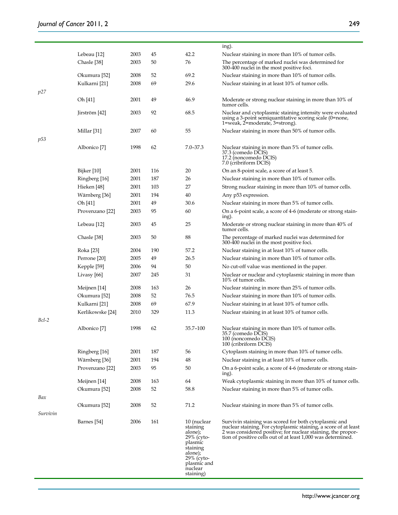|          | Okumura [52]               | 2008 | 52  | 69.2                                                                                                                                    | Nuclear staining in more than 10% of tumor cells.                                                                                                                                                                                                        |
|----------|----------------------------|------|-----|-----------------------------------------------------------------------------------------------------------------------------------------|----------------------------------------------------------------------------------------------------------------------------------------------------------------------------------------------------------------------------------------------------------|
|          | Kulkarni [21]              | 2008 | 69  | 29.6                                                                                                                                    | Nuclear staining in at least 10% of tumor cells.                                                                                                                                                                                                         |
| p27      |                            |      |     |                                                                                                                                         |                                                                                                                                                                                                                                                          |
|          | Oh [41]                    | 2001 | 49  | 46.9                                                                                                                                    | Moderate or strong nuclear staining in more than 10% of<br>tumor cells.                                                                                                                                                                                  |
|          | Jirström [42]              | 2003 | 92  | 68.5                                                                                                                                    | Nuclear and cytoplasmic staining intensity were evaluated<br>using a 3-point semiquantitative scoring scale (0=none,<br>1=weak, 2=moderate, 3=strong).                                                                                                   |
|          | Millar [31]                | 2007 | 60  | 55                                                                                                                                      | Nuclear staining in more than 50% of tumor cells.                                                                                                                                                                                                        |
| p53      |                            |      |     |                                                                                                                                         |                                                                                                                                                                                                                                                          |
|          | Albonico [7]               | 1998 | 62  | $7.0 - 37.3$                                                                                                                            | Nuclear staining in more than 5% of tumor cells.<br>37.3 (comedo DCIS)<br>17.2 (noncomedo DCIS)<br>7.0 (cribriform DCIS)                                                                                                                                 |
|          | Bijker [10]                | 2001 | 116 | 20                                                                                                                                      | On an 8-point scale, a score of at least 5.                                                                                                                                                                                                              |
|          | Ringberg [16]              | 2001 | 187 | 26                                                                                                                                      | Nuclear staining in more than 10% of tumor cells.                                                                                                                                                                                                        |
|          | Hieken [48]                | 2001 | 103 | 27                                                                                                                                      | Strong nuclear staining in more than 10% of tumor cells.                                                                                                                                                                                                 |
|          | Wärnberg [36]              | 2001 | 194 | 40                                                                                                                                      | Any p53 expression.                                                                                                                                                                                                                                      |
|          | Oh [41]                    | 2001 | 49  | 30.6                                                                                                                                    | Nuclear staining in more than 5% of tumor cells.                                                                                                                                                                                                         |
|          | Provenzano [22]            | 2003 | 95  | 60                                                                                                                                      | On a 6-point scale, a score of 4-6 (moderate or strong stain-<br>ing).                                                                                                                                                                                   |
|          | Lebeau [12]                | 2003 | 45  | 25                                                                                                                                      | Moderate or strong nuclear staining in more than 40% of<br>tumor cells.                                                                                                                                                                                  |
|          | Chasle [38]                | 2003 | 50  | 88                                                                                                                                      | The percentage of marked nuclei was determined for<br>300-400 nuclei in the most positive foci.                                                                                                                                                          |
|          | Roka [23]                  | 2004 | 190 | 57.2                                                                                                                                    | Nuclear staining in at least 10% of tumor cells.                                                                                                                                                                                                         |
|          | Perrone [20]               | 2005 | 49  | 26.5                                                                                                                                    | Nuclear staining in more than 10% of tumor cells.                                                                                                                                                                                                        |
|          | Kepple [59]                | 2006 | 94  | 50                                                                                                                                      | No cut-off value was mentioned in the paper.                                                                                                                                                                                                             |
|          | Livasy [66]                | 2007 | 245 | 31                                                                                                                                      | Nuclear or nuclear and cytoplasmic staining in more than<br>10% of tumor cells.                                                                                                                                                                          |
|          | Meijnen [14]               | 2008 | 163 | 26                                                                                                                                      | Nuclear staining in more than 25% of tumor cells.                                                                                                                                                                                                        |
|          | Okumura [52]               | 2008 | 52  | 76.5                                                                                                                                    | Nuclear staining in more than 10% of tumor cells.                                                                                                                                                                                                        |
|          | Kulkarni [21]              | 2008 | 69  | 67.9                                                                                                                                    | Nuclear staining in at least 10% of tumor cells.                                                                                                                                                                                                         |
|          | Kerlikowske [24]           | 2010 | 329 | 11.3                                                                                                                                    | Nuclear staining in at least 10% of tumor cells.                                                                                                                                                                                                         |
| Bcl-2    |                            |      |     |                                                                                                                                         |                                                                                                                                                                                                                                                          |
|          | Albonico <sup>[7]</sup>    | 1998 | 62  | 35.7-100                                                                                                                                | Nuclear staining in more than 10% of tumor cells.<br>35.7 (comedo DCIS)<br>100 (noncomedo DCIS)<br>100 (cribriform DCIS)                                                                                                                                 |
|          | Ringberg [16]              | 2001 | 187 | 56                                                                                                                                      | Cytoplasm staining in more than 10% of tumor cells.                                                                                                                                                                                                      |
|          | Wärnberg [36]              | 2001 | 194 | 48                                                                                                                                      | Nuclear staining in at least 10% of tumor cells.                                                                                                                                                                                                         |
|          | Provenzano <sup>[22]</sup> | 2003 | 95  | 50                                                                                                                                      | On a 6-point scale, a score of 4-6 (moderate or strong stain-<br>ing).                                                                                                                                                                                   |
|          | Meijnen [14]               | 2008 | 163 | 64                                                                                                                                      | Weak cytoplasmic staining in more than 10% of tumor cells.                                                                                                                                                                                               |
|          | Okumura [52]               | 2008 | 52  | 58.8                                                                                                                                    | Nuclear staining in more than 5% of tumor cells.                                                                                                                                                                                                         |
| Bax      |                            |      |     |                                                                                                                                         |                                                                                                                                                                                                                                                          |
|          | Okumura [52]               | 2008 | 52  | 71.2                                                                                                                                    | Nuclear staining in more than 5% of tumor cells.                                                                                                                                                                                                         |
| Survivin |                            |      |     |                                                                                                                                         |                                                                                                                                                                                                                                                          |
|          | Barnes [54]                | 2006 | 161 | 10 (nuclear<br>staining<br>alone);<br>29% (cyto-<br>plasmic<br>staining<br>alone);<br>29% (cyto-<br>plasmic and<br>nuclear<br>staining) | Survivin staining was scored for both cytoplasmic and<br>nuclear staining. For cytoplasmic staining, a score of at least<br>2 was considered positive; for nuclear staining, the propor-<br>tion of positive cells out of at least 1,000 was determined. |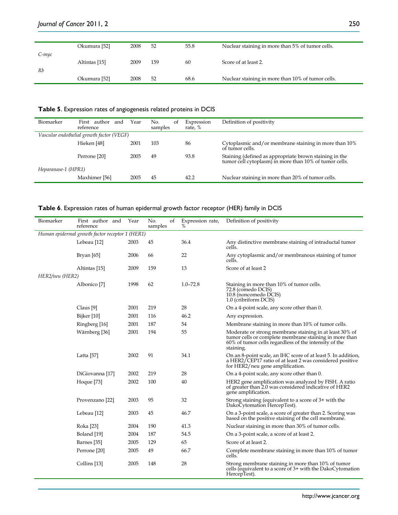|       | Okumura [52]  | 2008 | 52  | 55.8 | Nuclear staining in more than 5% of tumor cells.  |
|-------|---------------|------|-----|------|---------------------------------------------------|
| C-myc | Altintas [15] | 2009 | 159 | 60   | Score of at least 2.                              |
| Rb    | Okumura [52]  | 2008 | 52  | 68.6 | Nuclear staining in more than 10% of tumor cells. |

# **Table 5**. Expression rates of angiogenesis related proteins in DCIS

| Biomarker           | First author<br>and<br>reference          | Year | No.<br>of<br>samples | Expression<br>rate, % | Definition of positivity                                                                                      |
|---------------------|-------------------------------------------|------|----------------------|-----------------------|---------------------------------------------------------------------------------------------------------------|
|                     | Vascular endothelial growth factor (VEGF) |      |                      |                       |                                                                                                               |
|                     | Hieken [48]                               | 2001 | 103                  | 86                    | Cytoplasmic and/or membrane staining in more than 10%<br>of tumor cells.                                      |
|                     | Perrone [20]                              | 2005 | 49                   | 93.8                  | Staining (defined as appropriate brown staining in the tumor cell cytoplasm) in more than 10% of tumor cells. |
| Heparanase-1 (HPR1) |                                           |      |                      |                       |                                                                                                               |
|                     | Maxhimer [56]                             | 2005 | 45                   | 42.2                  | Nuclear staining in more than 20% of tumor cells.                                                             |

| Table 6. Expression rates of human epidermal growth factor receptor (HER) family in DCIS |
|------------------------------------------------------------------------------------------|
|------------------------------------------------------------------------------------------|

| Biomarker       | First author and<br>reference                   | Year | No.<br>of<br>samples | Expression rate,<br>% | Definition of positivity                                                                                                                                                                |
|-----------------|-------------------------------------------------|------|----------------------|-----------------------|-----------------------------------------------------------------------------------------------------------------------------------------------------------------------------------------|
|                 | Human epidermal growth factor receptor 1 (HER1) |      |                      |                       |                                                                                                                                                                                         |
|                 | Lebeau [12]                                     | 2003 | 45                   | 36.4                  | Any distinctive membrane staining of intraductal tumor<br>cells.                                                                                                                        |
|                 | Bryan $[65]$                                    | 2006 | 66                   | 22                    | Any cytoplasmic and/or membranous staining of tumor<br>cells.                                                                                                                           |
|                 | Altintas [15]                                   | 2009 | 159                  | 13                    | Score of at least 2                                                                                                                                                                     |
| HER2/neu (HER2) |                                                 |      |                      |                       |                                                                                                                                                                                         |
|                 | Albonico [7]                                    | 1998 | 62                   | $1.0 - 72.8$          | Staining in more than 10% of tumor cells.<br>72.8 (comedo DCIS)<br>10.8 (noncomedo DCIS)<br>1.0 (cribriform DCIS)                                                                       |
|                 | Claus [9]                                       | 2001 | 219                  | 28                    | On a 4-point scale, any score other than 0.                                                                                                                                             |
|                 | Bijker [10]                                     | 2001 | 116                  | 46.2                  | Any expression.                                                                                                                                                                         |
|                 | Ringberg [16]                                   | 2001 | 187                  | 54                    | Membrane staining in more than 10% of tumor cells.                                                                                                                                      |
|                 | Wärnberg [36]                                   | 2001 | 194                  | 55                    | Moderate or strong membrane staining in at least 30% of<br>tumor cells or complete membrane staining in more than<br>60% of tumor cells regardless of the intensity of the<br>staining. |
|                 | Latta [57]                                      | 2002 | 91                   | 34.1                  | On an 8-point scale, an IHC score of at least 5. In addition,<br>a HER2/CEP17 ratio of at least 2 was considered positive<br>for HER2/neu gene amplification.                           |
|                 | DiGiovanna [17]                                 | 2002 | 219                  | 28                    | On a 4-point scale, any score other than 0.                                                                                                                                             |
|                 | Hoque [73]                                      | 2002 | 100                  | 40                    | HER2 gene amplification was analyzed by FISH. A ratio<br>of greater than 2.0 was considered indicative of HER2<br>gene amplification.                                                   |
|                 | Provenzano [22]                                 | 2003 | 95                   | 32                    | Strong staining (equivalent to a score of 3+ with the<br>DakoCytomation HercepTest).                                                                                                    |
|                 | Lebeau [12]                                     | 2003 | 45                   | 46.7                  | On a 3-point scale, a score of greater than 2. Scoring was<br>based on the positive staining of the cell membrane.                                                                      |
|                 | Roka [23]                                       | 2004 | 190                  | 41.3                  | Nuclear staining in more than 30% of tumor cells.                                                                                                                                       |
|                 | Boland [19]                                     | 2004 | 187                  | 54.5                  | On a 3-point scale, a score of at least 2.                                                                                                                                              |
|                 | Barnes [35]                                     | 2005 | 129                  | 65                    | Score of at least 2.                                                                                                                                                                    |
|                 | Perrone <sup>[20]</sup>                         | 2005 | 49                   | 66.7                  | Complete membrane staining in more than 10% of tumor<br>cells.                                                                                                                          |
|                 | Collins [13]                                    | 2005 | 148                  | 28                    | Strong membrane staining in more than 10% of tumor<br>cells (equivalent to a score of 3+ with the DakoCytomation<br>HercepTest).                                                        |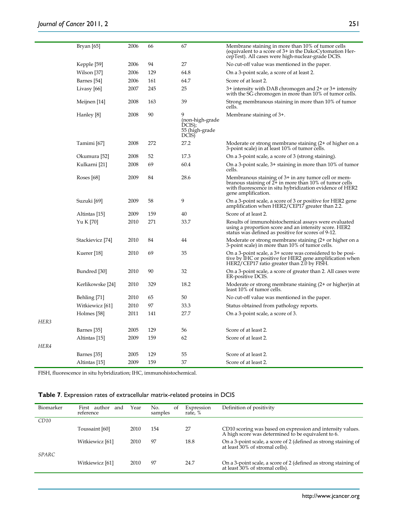|      | Bryan [65]       | 2006 | 66  | 67                                                        | Membrane staining in more than 10% of tumor cells<br>(equivalent to a score of 3+ in the DakoCytomation Her-<br>cepTest). All cases were high-nuclear-grade DCIS.                                |
|------|------------------|------|-----|-----------------------------------------------------------|--------------------------------------------------------------------------------------------------------------------------------------------------------------------------------------------------|
|      | Kepple [59]      | 2006 | 94  | 27                                                        | No cut-off value was mentioned in the paper.                                                                                                                                                     |
|      | Wilson [37]      | 2006 | 129 | 64.8                                                      | On a 3-point scale, a score of at least 2.                                                                                                                                                       |
|      | Barnes [54]      | 2006 | 161 | 64.7                                                      | Score of at least 2.                                                                                                                                                                             |
|      | Livasy [66]      | 2007 | 245 | 25                                                        | 3+ intensity with DAB chromogen and 2+ or 3+ intensity<br>with the SG chromogen in more than 10% of tumor cells.                                                                                 |
|      | Meijnen [14]     | 2008 | 163 | 39                                                        | Strong membranous staining in more than 10% of tumor<br>cells.                                                                                                                                   |
|      | Hanley [8]       | 2008 | 90  | 9<br>(non-high-grade<br>DCIS);<br>55 (high-grade<br>DCIS) | Membrane staining of $3+$ .                                                                                                                                                                      |
|      | Tamimi [67]      | 2008 | 272 | 27.2                                                      | Moderate or strong membrane staining (2+ of higher on a<br>3-point scale) in at least 10% of tumor cells.                                                                                        |
|      | Okumura [52]     | 2008 | 52  | 17.3                                                      | On a 3-point scale, a score of 3 (strong staining).                                                                                                                                              |
|      | Kulkarni [21]    | 2008 | 69  | 60.4                                                      | On a 3-point scale, 3+ staining in more than 10% of tumor<br>cells.                                                                                                                              |
|      | Roses $[68]$     | 2009 | 84  | 28.6                                                      | Membranous staining of 3+ in any tumor cell or mem-<br>branous staining of 2+ in more than 10% of tumor cells<br>with fluorescence in situ hybridization evidence of HER2<br>gene amplification. |
|      | Suzuki [69]      | 2009 | 58  | 9                                                         | On a 3-point scale, a score of 3 or positive for HER2 gene<br>amplification when HER2/CEP17 greater than 2.2.                                                                                    |
|      | Altintas [15]    | 2009 | 159 | 40                                                        | Score of at least 2.                                                                                                                                                                             |
|      | Yu K [70]        | 2010 | 271 | 33.7                                                      | Results of immunohistochemical assays were evaluated<br>using a proportion score and an intensity score. HER2<br>status was defined as positive for scores of 9-12.                              |
|      | Stackievicz [74] | 2010 | 84  | 44                                                        | Moderate or strong membrane staining (2+ or higher on a<br>3-point scale) in more than 10% of tumor cells.                                                                                       |
|      | Kuerer [18]      | 2010 | 69  | 35                                                        | On a 3-point scale, a 3+ score was considered to be posi-<br>tive by IHC or positive for HER2 gene amplification when<br>HER2/CEP17 ratio greater than 2.0 by FISH.                              |
|      | Bundred [30]     | 2010 | 90  | 32                                                        | On a 3-point scale, a score of greater than 2. All cases were<br>ER-positive DCIS.                                                                                                               |
|      | Kerlikowske [24] | 2010 | 329 | 18.2                                                      | Moderate or strong membrane staining (2+ or higher) in at<br>least 10% of tumor cells.                                                                                                           |
|      | Behling [71]     | 2010 | 65  | 50                                                        | No cut-off value was mentioned in the paper.                                                                                                                                                     |
|      | Witkiewicz [61]  | 2010 | 97  | 33.3                                                      | Status obtained from pathology reports.                                                                                                                                                          |
|      | Holmes [58]      | 2011 | 141 | 27.7                                                      | On a 3-point scale, a score of 3.                                                                                                                                                                |
| HER3 |                  |      |     |                                                           |                                                                                                                                                                                                  |
|      | Barnes [35]      | 2005 | 129 | 56                                                        | Score of at least 2.                                                                                                                                                                             |
|      | Altintas [15]    | 2009 | 159 | 62                                                        | Score of at least 2.                                                                                                                                                                             |
| HER4 |                  |      |     |                                                           |                                                                                                                                                                                                  |
|      | Barnes [35]      | 2005 | 129 | 55                                                        | Score of at least 2.                                                                                                                                                                             |
|      | Altintas [15]    | 2009 | 159 | 37                                                        | Score of at least 2.                                                                                                                                                                             |
|      |                  |      |     |                                                           |                                                                                                                                                                                                  |

FISH, fluorescence in situ hybridization; IHC, immunohistochemical.

# **Table 7**. Expression rates of extracellular matrix-related proteins in DCIS

| Biomarker | First<br>author<br>and<br>reference | Year | No.<br>οt<br>samples | Expression<br>rate, % | Definition of positivity                                                                                         |
|-----------|-------------------------------------|------|----------------------|-----------------------|------------------------------------------------------------------------------------------------------------------|
| CD10      |                                     |      |                      |                       |                                                                                                                  |
|           | Toussaint [60]                      | 2010 | 154                  | 27                    | CD10 scoring was based on expression and intensity values.<br>A high score was determined to be equivalent to 6. |
|           | Witkiewicz [61]                     | 2010 | 97                   | 18.8                  | On a 3-point scale, a score of 2 (defined as strong staining of<br>at least 30% of stromal cells).               |
| SPARC     |                                     |      |                      |                       |                                                                                                                  |
|           | Witkiewicz [61]                     | 2010 | 97                   | 24.7                  | On a 3-point scale, a score of 2 (defined as strong staining of<br>at least 30% of stromal cells).               |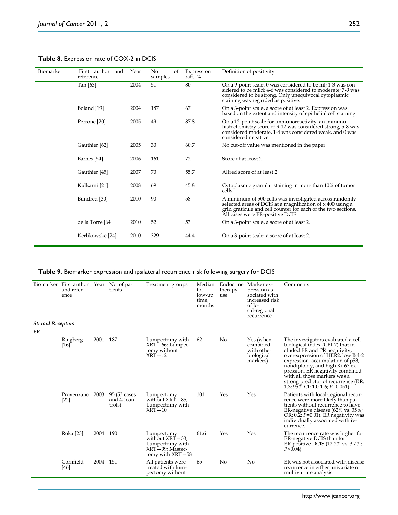# **Table 8**. Expression rate of COX-2 in DCIS

| Biomarker | First author and<br>reference | Year | No.<br>of<br>samples | Expression<br>rate, % | Definition of positivity                                                                                                                                                                                                   |
|-----------|-------------------------------|------|----------------------|-----------------------|----------------------------------------------------------------------------------------------------------------------------------------------------------------------------------------------------------------------------|
|           | Tan [63]                      | 2004 | 51                   | 80                    | On a 9-point scale, 0 was considered to be nil; 1-3 was con-<br>sidered to be mild; 4-6 was considered to moderate; 7-9 was<br>considered to be strong. Only unequivocal cytoplasmic<br>staining was regarded as positive. |
|           | Boland [19]                   | 2004 | 187                  | 67                    | On a 3-point scale, a score of at least 2. Expression was<br>based on the extent and intensity of epithelial cell staining.                                                                                                |
|           | Perrone [20]                  | 2005 | 49                   | 87.8                  | On a 12-point scale for immunoreactivity, an immuno-<br>histochemistry score of 9-12 was considered strong, 5-8 was<br>considered moderate, 1-4 was considered weak, and 0 was<br>considered negative.                     |
|           | Gauthier [62]                 | 2005 | 30                   | 60.7                  | No cut-off value was mentioned in the paper.                                                                                                                                                                               |
|           | Barnes [54]                   | 2006 | 161                  | 72                    | Score of at least 2.                                                                                                                                                                                                       |
|           | Gauthier [45]                 | 2007 | 70                   | 55.7                  | Allred score of at least 2.                                                                                                                                                                                                |
|           | Kulkarni [21]                 | 2008 | 69                   | 45.8                  | Cytoplasmic granular staining in more than 10% of tumor<br>cells.                                                                                                                                                          |
|           | Bundred [30]                  | 2010 | 90                   | 58                    | A minimum of 500 cells was investigated across randomly<br>selected areas of DCIS at a magnification of x 400 using a<br>grid graticule and cell counter for each of the two sections.<br>All cases were ER-positive DCIS. |
|           | de la Torre [64]              | 2010 | 52                   | 53                    | On a 3-point scale, a score of at least 2.                                                                                                                                                                                 |
|           | Kerlikowske [24]              | 2010 | 329                  | 44.4                  | On a 3-point scale, a score of at least 2.                                                                                                                                                                                 |

# **Table 9**. Biomarker expression and ipsilateral recurrence risk following surgery for DCIS

|                          | Biomarker First author Year No. of pa-<br>and refer-<br>ence |          | tients                                | Treatment groups                                                                             | Median<br>f <sub>ol</sub><br>low-up<br>time,<br>months | Endocrine<br>therapy<br>use | Marker ex-<br>pression as-<br>sociated with<br>increased risk<br>$of$ lo-<br>cal-regional<br>recurrence | Comments                                                                                                                                                                                                                                                                                                                                                                |
|--------------------------|--------------------------------------------------------------|----------|---------------------------------------|----------------------------------------------------------------------------------------------|--------------------------------------------------------|-----------------------------|---------------------------------------------------------------------------------------------------------|-------------------------------------------------------------------------------------------------------------------------------------------------------------------------------------------------------------------------------------------------------------------------------------------------------------------------------------------------------------------------|
| <b>Steroid Receptors</b> |                                                              |          |                                       |                                                                                              |                                                        |                             |                                                                                                         |                                                                                                                                                                                                                                                                                                                                                                         |
| ER                       |                                                              |          |                                       |                                                                                              |                                                        |                             |                                                                                                         |                                                                                                                                                                                                                                                                                                                                                                         |
|                          | Ringberg<br>[16]                                             | 2001     | 187                                   | Lumpectomy with<br>XRT-66; Lumpec-<br>tomy without<br>$XRT - 121$                            | 62                                                     | No                          | Yes (when<br>combined<br>with other<br>biological<br>markers)                                           | The investigators evaluated a cell<br>biological index (CBI-7) that in-<br>cluded ER and PR negativity,<br>overexpression of HER2, low Bcl-2<br>expression, accumulation of p53,<br>nondiploidy, and high Ki-67 ex-<br>pression. ER negativity combined<br>with all those markers was a<br>strong predictor of recurrence (RR:<br>1.3; $95\%$ CI: 1.0-1.6; $P=0.051$ ). |
|                          | Provenzano<br>$[22]$                                         | 2003     | 95 (53 cases<br>and 42 con-<br>trols) | Lumpectomy<br>without $XRT - 85$ ;<br>Lumpectomy with<br>$XRT-10$                            | 101                                                    | Yes                         | Yes                                                                                                     | Patients with local-regional recur-<br>rence were more likely than pa-<br>tients without recurrence to have<br>ER-negative disease (62% vs. 35%;<br>OR: $0.\Sigma$ ; $P=0.01$ ). ER negativity was<br>individually associated with re-<br>currence.                                                                                                                     |
|                          | Roka [23]                                                    | 2004 190 |                                       | Lumpectomy<br>without $XRT - 33$ ;<br>Lumpectomy with<br>XRT-99; Mastec-<br>tomy with XRT-58 | 61.6                                                   | Yes                         | Yes                                                                                                     | The recurrence rate was higher for<br>ER-negative DCIS than for<br>ER-positive DCIS (12.2% vs. 3.7%;<br>$P<0.04$ ).                                                                                                                                                                                                                                                     |
|                          | Cornfield<br>[46]                                            | 2004 151 |                                       | All patients were<br>treated with lum-<br>pectomy without                                    | 65                                                     | No.                         | N <sub>0</sub>                                                                                          | ER was not associated with disease<br>recurrence in either univariate or<br>multivariate analysis.                                                                                                                                                                                                                                                                      |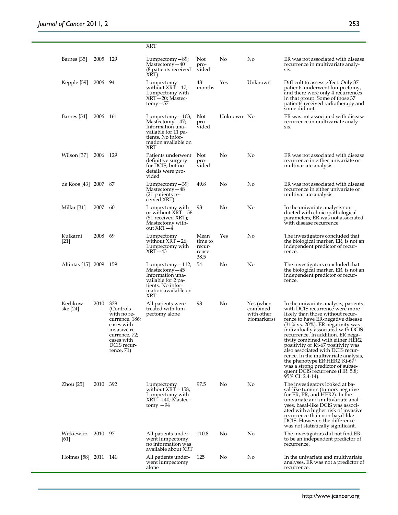253

|                        |          |                                                                                                                                               | XRT                                                                                                                                 |                                             |            |                                                    |                                                                                                                                                                                                                                                                                                                                                                                                                                                                                                                                                                                        |
|------------------------|----------|-----------------------------------------------------------------------------------------------------------------------------------------------|-------------------------------------------------------------------------------------------------------------------------------------|---------------------------------------------|------------|----------------------------------------------------|----------------------------------------------------------------------------------------------------------------------------------------------------------------------------------------------------------------------------------------------------------------------------------------------------------------------------------------------------------------------------------------------------------------------------------------------------------------------------------------------------------------------------------------------------------------------------------------|
| Barnes [35]            | 2005 129 |                                                                                                                                               | Lumpectomy $-89$ ;<br>$M$ astectomy $-40$<br>(8 patients received<br>XRT)                                                           | Not<br>pro-<br>vided                        | No         | No                                                 | ER was not associated with disease<br>recurrence in multivariate analy-<br>sis.                                                                                                                                                                                                                                                                                                                                                                                                                                                                                                        |
| Kepple [59]            | 2006     | 94                                                                                                                                            | Lumpectomy<br>without $XRT - 17$ ;<br>Lumpectomy with<br>XRT-20; Mastec-<br>$tomy-57$                                               | 48<br>months                                | Yes        | Unknown                                            | Difficult to assess effect. Only 37<br>patients underwent lumpectomy,<br>and there were only 4 recurrences<br>in that group. Some of those 37<br>patients received radiotherapy and<br>some did not.                                                                                                                                                                                                                                                                                                                                                                                   |
| Barnes [54]            | 2006 161 |                                                                                                                                               | Lumpectomy $-103$ ;<br>Mastectomy-47;<br>Information una-<br>vailable for 11 pa-<br>tients. No infor-<br>mation available on<br>XRT | Not<br>pro-<br>vided                        | Unknown No |                                                    | ER was not associated with disease<br>recurrence in multivariate analy-<br>sis.                                                                                                                                                                                                                                                                                                                                                                                                                                                                                                        |
| Wilson [37]            | 2006 129 |                                                                                                                                               | Patients underwent Not<br>definitive surgery<br>for DCIS, but no<br>details were pro-<br>vided                                      | pro-<br>vided                               | No         | No                                                 | ER was not associated with disease<br>recurrence in either univariate or<br>multivariate analysis.                                                                                                                                                                                                                                                                                                                                                                                                                                                                                     |
| de Roos [43] 2007 87   |          |                                                                                                                                               | $Lumpedomy-39;$<br>Mastectomy-48<br>(21 patients re-<br>ceived XRT)                                                                 | 49.8                                        | No         | No                                                 | ER was not associated with disease<br>recurrence in either univariate or<br>multivariate analysis.                                                                                                                                                                                                                                                                                                                                                                                                                                                                                     |
| Millar [31]            | 2007 60  |                                                                                                                                               | Lumpectomy with<br>or without XRT-56<br>$(51$ received $XRT$ ;<br>Mastectomy with-<br>out $XRT-4$                                   | 98                                          | No         | N <sub>o</sub>                                     | In the univariate analysis con-<br>ducted with clinicopathological<br>parameters, ER was not associated<br>with disease recurrence.                                                                                                                                                                                                                                                                                                                                                                                                                                                    |
| Kulkarni<br>[21]       | 2008     | - 69                                                                                                                                          | Lumpectomy<br>without $XRT-26$ ;<br>Lumpectomy with<br>$XRT-43$                                                                     | Mean<br>time to<br>recur-<br>rence:<br>38.5 | Yes        | No                                                 | The investigators concluded that<br>the biological marker, ER, is not an<br>independent predictor of recur-<br>rence.                                                                                                                                                                                                                                                                                                                                                                                                                                                                  |
| Altintas [15] 2009 159 |          |                                                                                                                                               | $Lumpedomy-112;$<br>Mastectomy-45<br>Information una-<br>vailable for 2 pa-<br>tients. No infor-<br>mation available on<br>XRT      | 54                                          | No         | No                                                 | The investigators concluded that<br>the biological marker, ER, is not an<br>independent predictor of recur-<br>rence.                                                                                                                                                                                                                                                                                                                                                                                                                                                                  |
| Kerlikow-<br>ske [24]  | 2010     | 329<br>(Controls<br>with no re-<br>currence, 186;<br>cases with<br>invasive re-<br>currence, 72;<br>cases with<br>DCIS recur-<br>rence, $71)$ | All patients were<br>treated with lum-<br>pectomy alone                                                                             | 98                                          | No         | Yes (when<br>combined<br>with other<br>biomarkers) | In the univariate analysis, patients<br>with DCIS recurrence were more<br>likely than those without recur-<br>rence to have ER-negative disease<br>(31% vs. 20%). ER negativity was<br>individually associated with DCIS<br>recurrence. In addition, ER nega-<br>tivity combined with either HER2<br>positivity or Ki-67 positivity was<br>also associated with DCIS recur-<br>rence. In the multivariate analysis,<br>the phenotype $ER$ <sup>-</sup> HER2 <sup>+</sup> Ki-67 <sup>+</sup><br>was a strong predictor of subse-<br>quent DCIS recurrence (HR: 5.8;<br>95% CI: 2.4-14). |
| Zhou [25]              | 2010 392 |                                                                                                                                               | Lumpectomy<br>without $XRT-158$ ;<br>Lumpectomy with<br>XRT-140; Mastec-<br>$tomy - 94$                                             | 97.5                                        | No         | No                                                 | The investigators looked at ba-<br>sal-like tumors (tumors negative<br>for ER, PR, and HER2). In the<br>univariate and multivariate anal-<br>yses, basal-like DCIS was associ-<br>ated with a higher risk of invasive<br>recurrence than non-basal-like<br>DCIS. However, the difference<br>was not statistically significant.                                                                                                                                                                                                                                                         |
| Witkiewicz<br> 61      | 2010 97  |                                                                                                                                               | All patients under-<br>went lumpectomy;<br>no information was<br>available about XRT                                                | 110.8                                       | No         | No                                                 | The investigators did not find ER<br>to be an independent predictor of<br>recurrence.                                                                                                                                                                                                                                                                                                                                                                                                                                                                                                  |
| Holmes [58] 2011 141   |          |                                                                                                                                               | All patients under-<br>went lumpectomy<br>alone                                                                                     | 125                                         | No         | No                                                 | In the univariate and multivariate<br>analyses, ER was not a predictor of<br>recurrence.                                                                                                                                                                                                                                                                                                                                                                                                                                                                                               |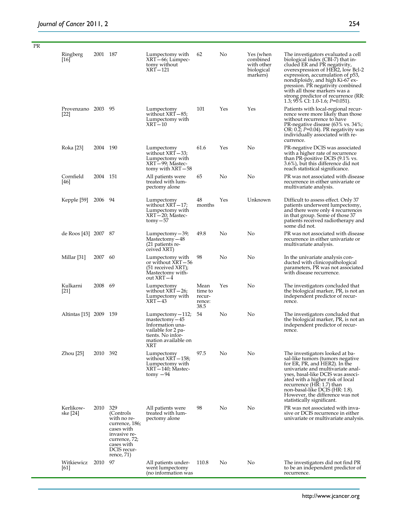| PR | Ringberg<br> 16            | 2001 187 |                                                                                                                                        | Lumpectomy with<br>XRT-66; Lumpec-<br>tomy without<br>$XRT - 121$                                                              | 62                                          | No  | Yes (when<br>combined<br>with other<br>biological<br>markers) | The investigators evaluated a cell<br>biological index (CBI-7) that in-<br>cluded ER and PR negativity,<br>overexpression of HER2, low Bcl-2<br>expression, accumulation of p53,<br>nondiploidy, and high Ki-67 ex-<br>pression. PR negativity combined<br>with all those markers was a<br>strong predictor of recurrence (RR:<br>1.3; $95\%$ CI: 1.0-1.6; $P=0.051$ ). |
|----|----------------------------|----------|----------------------------------------------------------------------------------------------------------------------------------------|--------------------------------------------------------------------------------------------------------------------------------|---------------------------------------------|-----|---------------------------------------------------------------|-------------------------------------------------------------------------------------------------------------------------------------------------------------------------------------------------------------------------------------------------------------------------------------------------------------------------------------------------------------------------|
|    | Provenzano 2003 95<br>[22] |          |                                                                                                                                        | Lumpectomy<br>without $XRT - 85$ ;<br>Lumpectomy with<br>$XRT-10$                                                              | 101                                         | Yes | Yes                                                           | Patients with local-regional recur-<br>rence were more likely than those<br>without recurrence to have<br>PR-negative disease (63% vs. 34%;<br>OR: 0.2; $P=0.04$ ). PR negativity was<br>individually associated with re-<br>currence.                                                                                                                                  |
|    | Roka [23]                  | 2004 190 |                                                                                                                                        | Lumpectomy<br>without XRT-33;<br>Lumpectomy with<br>XRT-99; Mastec-<br>tomy with XRT-58                                        | 61.6                                        | Yes | No                                                            | PR-negative DCIS was associated<br>with a higher rate of recurrence<br>than PR-positive DCIS (9.1% vs.<br>3.6%), but this difference did not<br>reach statistical significance.                                                                                                                                                                                         |
|    | Cornfield<br>146           | 2004 151 |                                                                                                                                        | All patients were<br>treated with lum-<br>pectomy alone                                                                        | 65                                          | No  | No                                                            | PR was not associated with disease<br>recurrence in either univariate or<br>multivariate analysis.                                                                                                                                                                                                                                                                      |
|    | Kepple [59]                | 2006 94  |                                                                                                                                        | Lumpectomy<br>without XRT-17;<br>Lumpectomy with<br>XRT-20; Mastec-<br>$t$ omy $-57$                                           | 48<br>months                                | Yes | Unknown                                                       | Difficult to assess effect. Only 37<br>patients underwent lumpectomy,<br>and there were only 4 recurrences<br>in that group. Some of those 37<br>patients received radiotherapy and<br>some did not.                                                                                                                                                                    |
|    | de Roos [43] 2007 87       |          |                                                                                                                                        | Lumpectomy $-39$ ;<br>Mastectomy-48<br>(21 patients re-<br>ceived XRT)                                                         | 49.8                                        | No  | No                                                            | PR was not associated with disease<br>recurrence in either univariate or<br>multivariate analysis.                                                                                                                                                                                                                                                                      |
|    | Millar [31]                | 2007 60  |                                                                                                                                        | Lumpectomy with<br>or without XRT-56<br>$(51$ received XRT);<br>Mastectomy with-<br>out XRT-4                                  | 98                                          | No  | No                                                            | In the univariate analysis con-<br>ducted with clinicopathological<br>parameters, PR was not associated<br>with disease recurrence.                                                                                                                                                                                                                                     |
|    | Kulkarni<br>[21]           | 2008 69  |                                                                                                                                        | Lumpectomy<br>without $XRT - 26$ ;<br>Lumpectomy with<br>$XRT-43$                                                              | Mean<br>time to<br>recur-<br>rence:<br>38.5 | Yes | No                                                            | The investigators concluded that<br>the biological marker, PR, is not an<br>independent predictor of recur-<br>rence.                                                                                                                                                                                                                                                   |
|    | Altintas [15] 2009 159     |          |                                                                                                                                        | $Lumpedomy-112;$<br>mastectomy-45<br>Information una-<br>vailable for 2 pa-<br>tients. No infor-<br>mation available on<br>XRT | 54                                          | No  | No                                                            | The investigators concluded that<br>the biological marker, PR, is not an<br>independent predictor of recur-<br>rence.                                                                                                                                                                                                                                                   |
|    | Zhou [25]                  | 2010 392 |                                                                                                                                        | Lumpectomy<br>without $XRT - 158$ ;<br>Lumpectomy with<br>XRT-140; Mastec-<br>$t$ omy $-94$                                    | 97.5                                        | No  | No                                                            | The investigators looked at ba-<br>sal-like tumors (tumors negative<br>for ER, PR, and HER2). In the<br>univariate and multivariate anal-<br>yses, basal-like DCIS was associ-<br>ated with a higher risk of local<br>recurrence (HR: 1.7) than<br>non-basal-like DCIS (HR: 1.8).<br>However, the difference was not<br>statistically significant.                      |
|    | Kerlikow-<br>ske [24]      | 2010 329 | (Controls<br>with no re-<br>currence, 186;<br>cases with<br>invasive re-<br>currence, 72;<br>cases with<br>DCIS recur-<br>rence, $71)$ | All patients were<br>treated with lum-<br>pectomy alone                                                                        | 98                                          | No  | No                                                            | PR was not associated with inva-<br>sive or DCIS recurrence in either<br>univariate or multivariate analysis.                                                                                                                                                                                                                                                           |
|    | Witkiewicz<br>[61]         | 2010     | 97                                                                                                                                     | All patients under-<br>went lumpectomy<br>(no information was                                                                  | 110.8                                       | No  | No                                                            | The investigators did not find PR<br>to be an independent predictor of<br>recurrence.                                                                                                                                                                                                                                                                                   |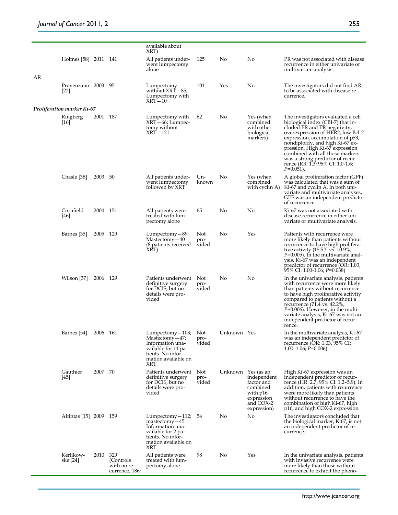|    |                                   |          |                                                   | available about<br>XRT)                                                                                                                 |                      |                    |                                                                                             |                                                                                                                                                                                                                                                                                                                                                                                   |
|----|-----------------------------------|----------|---------------------------------------------------|-----------------------------------------------------------------------------------------------------------------------------------------|----------------------|--------------------|---------------------------------------------------------------------------------------------|-----------------------------------------------------------------------------------------------------------------------------------------------------------------------------------------------------------------------------------------------------------------------------------------------------------------------------------------------------------------------------------|
|    | Holmes [58] 2011 141              |          |                                                   | All patients under-<br>went lumpectomy<br>alone                                                                                         | 125                  | No                 | No                                                                                          | PR was not associated with disease<br>recurrence in either univariate or<br>multivariate analysis.                                                                                                                                                                                                                                                                                |
| AR |                                   |          |                                                   |                                                                                                                                         |                      |                    |                                                                                             |                                                                                                                                                                                                                                                                                                                                                                                   |
|    | Provenzano 2003 95<br> 22         |          |                                                   | Lumpectomy<br>without $XRT-85$ ;<br>Lumpectomy with<br>$XKT-10$                                                                         | 101                  | Yes                | No                                                                                          | The investigators did not find AR<br>to be associated with disease re-<br>currence.                                                                                                                                                                                                                                                                                               |
|    | <b>Proliferation marker Ki-67</b> |          |                                                   |                                                                                                                                         |                      |                    |                                                                                             |                                                                                                                                                                                                                                                                                                                                                                                   |
|    | Ringberg<br>$[16]$                | 2001 187 |                                                   | Lumpectomy with<br>XRT-66; Lumpec-<br>tomy without<br>$XRT-121$                                                                         | 62                   | No                 | Yes (when<br>combined<br>with other<br>biological<br>markers)                               | The investigators evaluated a cell<br>biological index (CBI-7) that in-<br>cluded ER and PR negativity,<br>overexpression of HER2, low Bcl-2<br>expression, accumulation of p53,<br>nondiploidy, and high Ki-67 ex-<br>pression. High Ki-67 expression<br>combined with all those markers<br>was a strong predictor of recur-<br>rence (RR: 1.3; 95% CI: 1.0-1.6;<br>$P=0.051$ ). |
|    | Chasle [38]                       | 2003 50  |                                                   | All patients under-<br>went lumpectomy<br>followed by XRT                                                                               | $Un-$<br>known       | No                 | Yes (when<br>combined<br>with cyclin A)                                                     | A global proliferation factor (GPF)<br>was calculated that was a sum of<br>Ki-67 and cyclin A. In both uni-<br>variate and multivariate analyses,<br>GPF was an independent predictor<br>of recurrence.                                                                                                                                                                           |
|    | Cornfield<br> 46                  | 2004 151 |                                                   | All patients were<br>treated with lum-<br>pectomy alone                                                                                 | 65                   | No                 | No                                                                                          | Ki-67 was not associated with<br>disease recurrence in either uni-<br>variate or multivariate analysis.                                                                                                                                                                                                                                                                           |
|    | Barnes [35]                       | 2005 129 |                                                   | $Lumpedomy-89;$<br>$Masteromy-40$<br>(8 patients received<br>XRT)                                                                       | Not<br>pro-<br>vided | No                 | Yes                                                                                         | Patients with recurrence were<br>more likely than patients without<br>recurrence to have high prolifera-<br>tive activity $(15.5\% \text{ vs. } 10.9\%);$<br>$P=0.005$ ). In the multivariate anal-<br>ysis, Ki-67 was an independent<br>predictor of recurrence (OR: 1.03,<br>95% CI: 1.00-1.06; P=0.038)                                                                        |
|    | Wilson [37]                       | 2006 129 |                                                   | Patients underwent<br>definitive surgery<br>for DCIS, but no<br>details were pro-<br>vided                                              | Not<br>pro-<br>vided | No                 | No                                                                                          | In the univariate analysis, patients<br>with recurrence were more likely<br>than patients without recurrence<br>to have high proliferative activity<br>compared to patients without a<br>recurrence (71.4 vs. 42.2%,<br>$P=0.006$ ). However, in the multi-<br>variate analysis, Ki-67 was not an<br>independent predictor of recur-<br>rence.                                    |
|    | Barnes [54]                       | 2006 161 |                                                   | Lumpectomy-103; Not<br>Mastectomy $-47$ ;<br>Information una-<br>vailable for 11 pa-<br>tients. No infor-<br>mation available on<br>XRT | pro-<br>vided        | Unknown Yes        |                                                                                             | In the multivariate analysis, Ki-67<br>was an independent predictor of<br>recurrence (OR: 1.03, 95% CI:<br>$1.00-1.06; P=0.006$ ).                                                                                                                                                                                                                                                |
|    | Gauthier<br>$[45]$                | 2007 70  |                                                   | Patients underwent<br>definitive surgery<br>for DCIS, but no<br>details were pro-<br>vided                                              | Not<br>pro-<br>vided | Unknown Yes (as an | independent<br>factor and<br>combined<br>with p16<br>expression<br>and COX-2<br>expression) | High Ki-67 expression was an<br>independent predictor of recur-<br>rence (HR: 2.7, 95% CI: 1.2–5.9). In<br>addition, patients with recurrence<br>were more likely than patients<br>without recurrence to have the<br>combination of high Ki-67, high<br>p16, and high COX-2 expression.                                                                                           |
|    | Altintas [15] 2009 159            |          |                                                   | $Lumpedomy-112;$<br>$masterctomy-45$<br>Information una-<br>vailable for 2 pa-<br>tients. No infor-<br>mation available on<br>XRT       | 54                   | No                 | No                                                                                          | The investigators concluded that<br>the biological marker, Ki67, is not<br>an independent predictor of re-<br>currence.                                                                                                                                                                                                                                                           |
|    | Kerlikow-<br>ske [24]             | 2010     | 329<br>(Controls<br>with no re-<br>currence, 186; | All patients were<br>treated with lum-<br>pectomy alone                                                                                 | 98                   | No                 | Yes                                                                                         | In the univariate analysis, patients<br>with invasive recurrence were<br>more likely than those without<br>recurrence to exhibit the pheno-                                                                                                                                                                                                                                       |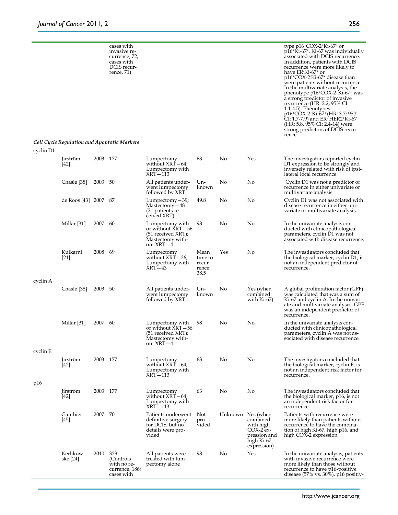type p16+COX-2 <sup>+</sup>Ki-67<sup>+</sup> or p16+Ki-67+. Ki-67 was individually associated with DCIS recurrence. In addition, patients with DCIS recurrence were more likely to have ER-Ki-67<sup>+</sup> or p16+COX-2 -Ki-67<sup>+</sup> disease than were patients without recurrence. In the multivariate analysis, the phenotype p16+COX-2 <sup>+</sup>Ki-67<sup>+</sup> was a strong predictor of invasive recurrence (HR: 2.2; 95% CI: 1.1-4.5). Phenotypes

p16+COX-2 <sup>+</sup>Ki-67+ (HR: 3.7; 95% CI: 1.7-7.9) and ER- HER2+Ki-67<sup>+</sup> (HR: 5.8, 95% CI: 2.4-14) were strong predictors of DCIS recurrence.

D1 expression to be strongly and inversely related with risk of ipsilateral local recurrence. recurrence in either univariate or multivariate analysis. disease recurrence in either univariate or multivariate analysis.

cyclin D1

# *Cell Cycle Regulation and Apoptotic Markers*

| Journal of Cancer 2011, 2 |  |
|---------------------------|--|
|                           |  |

cases with invasive recurrence, 72; cases with DCIS recurrence, 71)

|          | lirström<br> 42       | 2003 177 |                                                                  | Lumpectomy<br>without $XRT - 64$ ;<br>Lumpectomy with<br>$XRT - 113$                            | 63                                          | No  | Yes                                                                                                      | The investigators reported cyclin<br>D1 expression to be strongly and<br>inversely related with risk of ipsi-<br>lateral local recurrence.                                                             |
|----------|-----------------------|----------|------------------------------------------------------------------|-------------------------------------------------------------------------------------------------|---------------------------------------------|-----|----------------------------------------------------------------------------------------------------------|--------------------------------------------------------------------------------------------------------------------------------------------------------------------------------------------------------|
|          | Chasle [38]           | 2003     | -50                                                              | All patients under-<br>went lumpectomy<br>followed by XRT                                       | $Un-$<br>known                              | No  | No                                                                                                       | Cyclin D1 was not a predictor of<br>recurrence in either univariate or<br>multivariate analysis.                                                                                                       |
|          | de Roos [43] 2007 87  |          |                                                                  | $Lumpedomy-39;$<br>Mastectomy-48<br>(21 patients re-<br>ceived XRT)                             | 49.8                                        | No  | No                                                                                                       | Cyclin D1 was not associated with<br>disease recurrence in either uni-<br>variate or multivariate analysis.                                                                                            |
|          | Millar [31]           | 2007 60  |                                                                  | Lumpectomy with<br>or without XRT-56<br>$(51$ received XRT);<br>Mastectomy with-<br>out $XRT-4$ | 98                                          | No  | No                                                                                                       | In the univariate analysis con-<br>ducted with clinicopathological<br>parameters, cyclin D1 was not<br>associated with disease recurrence.                                                             |
|          | Kulkarni<br>$[21]$    | 2008 69  |                                                                  | Lumpectomy<br>without $XRT-26$ ;<br>Lumpectomy with<br>$XRT-43$                                 | Mean<br>time to<br>recur-<br>rence:<br>38.5 | Yes | No                                                                                                       | The investigators concluded that<br>the biological marker, cyclin D1, is<br>not an independent predictor of<br>recurrence.                                                                             |
| cyclin A |                       |          |                                                                  |                                                                                                 |                                             |     |                                                                                                          |                                                                                                                                                                                                        |
|          | Chasle [38]           | 2003     | 50                                                               | All patients under-<br>went lumpectomy<br>followed by XRT                                       | Un-<br>known                                | No  | Yes (when<br>combined<br>with Ki-67)                                                                     | A global proliferation factor (GPF)<br>was calculated that was a sum of<br>Ki-67 and cyclin A. In the univari-<br>ate and multivariate analyses, GPF<br>was an independent predictor of<br>recurrence. |
|          | Millar [31]           | 2007 60  |                                                                  | Lumpectomy with<br>or without XRT-56<br>$(51$ received XRT);<br>Mastectomy with-<br>out $XRT-4$ | 98                                          | No  | No                                                                                                       | In the univariate analysis con-<br>ducted with clinicopathological<br>parameters, cyclin A was not as-<br>sociated with disease recurrence.                                                            |
| cyclin E |                       |          |                                                                  |                                                                                                 |                                             |     |                                                                                                          |                                                                                                                                                                                                        |
|          | lirström<br>[42]      | 2003 177 |                                                                  | Lumpectomy<br>without $XRT-64$ ;<br>Lumpectomy with<br>XRT-113                                  | 63                                          | No  | No                                                                                                       | The investigators concluded that<br>the biological marker, cyclin E, is<br>not an independent risk factor for<br>recurrence.                                                                           |
| p16      |                       |          |                                                                  |                                                                                                 |                                             |     |                                                                                                          |                                                                                                                                                                                                        |
|          | lirström<br>[42]      | 2003 177 |                                                                  | Lumpectomy<br>without $XRT-64$ ;<br>Lumpectomy with<br>XRT-113                                  | 63                                          | No  | No                                                                                                       | The investigators concluded that<br>the biological marker, p16, is not<br>an independent risk factor for<br>recurrence.                                                                                |
|          | Gauthier<br>$[45]$    | 2007 70  |                                                                  | Patients underwent<br>definitive surgery<br>for DCIS, but no<br>details were pro-<br>vided      | Not<br>pro-<br>vided                        |     | Unknown Yes (when<br>combined<br>with high<br>$COX-2$ $ex-$<br>pression and<br>high Ki-67<br>expression) | Patients with recurrence were<br>more likely than patients without<br>recurrence to have the combina-<br>tion of high Ki-67, high p16, and<br>high COX-2 expression.                                   |
|          | Kerlikow-<br>ske [24] | 2010     | 329<br>(Controls)<br>with no re-<br>currence, 186;<br>cases with | All patients were<br>treated with lum-<br>pectomy alone                                         | 98                                          | No  | Yes                                                                                                      | In the univariate analysis, patients<br>with invasive recurrence were<br>more likely than those without<br>recurrence to have p16-positive<br>disease (57% vs. 30%). p16 positiv-                      |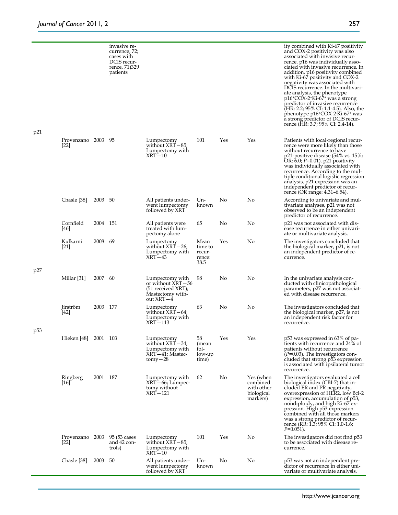|     |                            |          | invasive re-<br>currence, 72;<br>cases with<br>DCIS recur-<br>rence, 71)329<br>patients |                                                                                               |                                             |     |                                                               | ity combined with Ki-67 positivity<br>and COX-2 positivity was also<br>associated with invasive recur-<br>rence. p16 was individually asso-<br>ciated with invasive recurrence. In<br>addition, p16 positivity combined<br>with Ki-67 positivity and COX-2<br>negativity was associated with<br>DCIS recurrence. In the multivari-<br>ate analysis, the phenotype<br>$p16+COX-2*Ki-67*$ was a strong<br>predictor of invasive recurrence<br>(HR: 2.2; 95% CI: 1.1-4.5). Also, the<br>phenotype p16+COX-2-Ki-67+ was<br>a strong predictor of DCIS recur- |
|-----|----------------------------|----------|-----------------------------------------------------------------------------------------|-----------------------------------------------------------------------------------------------|---------------------------------------------|-----|---------------------------------------------------------------|----------------------------------------------------------------------------------------------------------------------------------------------------------------------------------------------------------------------------------------------------------------------------------------------------------------------------------------------------------------------------------------------------------------------------------------------------------------------------------------------------------------------------------------------------------|
|     |                            |          |                                                                                         |                                                                                               |                                             |     |                                                               | rence (HR: 3.7; 95% CI: 2.4-14).                                                                                                                                                                                                                                                                                                                                                                                                                                                                                                                         |
| p21 | Provenzano 2003 95<br>[22] |          |                                                                                         | Lumpectomy<br>without $XRT-85$ ;<br>Lumpectomy with<br>$XRT-10$                               | 101                                         | Yes | Yes                                                           | Patients with local-regional recur-<br>rence were more likely than those<br>without recurrence to have<br>p21-positive disease (54% vs. 15%;<br>OR: 6.0; $P=0.01$ ). p21 positivity<br>was individually associated with<br>recurrence. According to the mul-<br>tiple conditional logistic regression<br>analysis, p21 expression was an<br>independent predictor of recur-<br>rence (OR range: 4.31–6.54).                                                                                                                                              |
|     | Chasle [38]                | 2003 50  |                                                                                         | All patients under-<br>went lumpectomy<br>followed by XRT                                     | Un-<br>known                                | No  | No                                                            | According to univariate and mul-<br>tivariate analyses, p21 was not<br>observed to be an independent<br>predictor of recurrence.                                                                                                                                                                                                                                                                                                                                                                                                                         |
|     | Cornfield<br> 46           | 2004 151 |                                                                                         | All patients were<br>treated with lum-<br>pectomy alone                                       | 65                                          | No  | No                                                            | p21 was not associated with dis-<br>ease recurrence in either univari-<br>ate or multivariate analysis.                                                                                                                                                                                                                                                                                                                                                                                                                                                  |
|     | Kulkarni<br>$[21]$         | 2008 69  |                                                                                         | Lumpectomy<br>without $XRT-26$ ;<br>Lumpectomy with<br>$XRT-43$                               | Mean<br>time to<br>recur-<br>rence:<br>38.5 | Yes | No                                                            | The investigators concluded that<br>the biological marker, p21, is not<br>an independent predictor of re-<br>currence.                                                                                                                                                                                                                                                                                                                                                                                                                                   |
| p27 |                            |          |                                                                                         |                                                                                               |                                             |     |                                                               |                                                                                                                                                                                                                                                                                                                                                                                                                                                                                                                                                          |
|     | Millar [31]                | 2007 60  |                                                                                         | Lumpectomy with<br>or without XRT-56<br>(51 received XRT);<br>Mastectomy with-<br>out $XRT-4$ | 98                                          | No  | No                                                            | In the univariate analysis con-<br>ducted with clinicopathological<br>parameters, p27 was not associat-<br>ed with disease recurrence.                                                                                                                                                                                                                                                                                                                                                                                                                   |
|     | <b>Jirström</b><br> 42     | 2003 177 |                                                                                         | Lumpectomy<br>without $XRT-64$ ;<br>Lumpectomy with<br>XRT-113                                | 63                                          | No  | No                                                            | The investigators concluded that<br>the biological marker, p27, is not<br>an independent risk factor for<br>recurrence.                                                                                                                                                                                                                                                                                                                                                                                                                                  |
| p53 |                            |          |                                                                                         |                                                                                               |                                             |     |                                                               |                                                                                                                                                                                                                                                                                                                                                                                                                                                                                                                                                          |
|     | Hieken [48]                | 2001 103 |                                                                                         | Lumpectomy<br>without $XRT-34$ ;<br>Lumpectomy with<br>XRT-41; Mastec-<br>$\text{tomy} - 28$  | 58<br>(mean<br>fol-<br>low-up<br>time)      | Yes | Yes                                                           | p53 was expressed in 63% of pa-<br>tients with recurrence and 24% of<br>patients without recurrence<br>$(P=0.03)$ . The investigators con-<br>cluded that strong p53 expression<br>is associated with ipsilateral tumor<br>recurrence.                                                                                                                                                                                                                                                                                                                   |
|     | Ringberg<br>$[16]$         | 2001 187 |                                                                                         | Lumpectomy with<br>XRT-66; Lumpec-<br>tomy without<br>$XRT - 121$                             | 62                                          | No  | Yes (when<br>combined<br>with other<br>biological<br>markers) | The investigators evaluated a cell<br>biological index (CBI-7) that in-<br>cluded ER and PR negativity,<br>overexpression of HER2, low Bcl-2<br>expression, accumulation of p53,<br>nondiploidy, and high Ki-67 ex-<br>pression. High p53 expression<br>combined with all those markers<br>was a strong predictor of recur-<br>rence (RR: 1.3; 95% CI: 1.0-1.6;<br>$P=0.051$ ).                                                                                                                                                                          |
|     | Provenzano 2003<br>$[22]$  |          | 95 (53 cases<br>and 42 con-<br>trols)                                                   | Lumpectomy<br>without $XRT-85$ ;<br>Lumpectomy with<br>$XRT - 10$                             | 101                                         | Yes | No                                                            | The investigators did not find p53<br>to be associated with disease re-<br>currence.                                                                                                                                                                                                                                                                                                                                                                                                                                                                     |
|     | Chasle [38]                | 2003     | 50                                                                                      | All patients under-<br>went lumpectomy<br>followed by XRT                                     | Un-<br>known                                | No  | No                                                            | p53 was not an independent pre-<br>dictor of recurrence in either uni-<br>variate or multivariate analysis.                                                                                                                                                                                                                                                                                                                                                                                                                                              |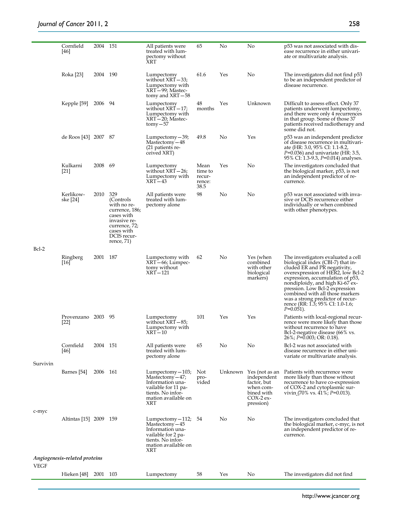|                               | Cornfield<br>$[46]$       | 2004 151 |                                                                                                                                                | All patients were<br>treated with lum-<br>pectomy without<br>XRT                                                                        | 65                                          | No  | No                                                                                                          | p53 was not associated with dis-<br>ease recurrence in either univari-<br>ate or multivariate analysis.                                                                                                                                                                                                                                                                          |
|-------------------------------|---------------------------|----------|------------------------------------------------------------------------------------------------------------------------------------------------|-----------------------------------------------------------------------------------------------------------------------------------------|---------------------------------------------|-----|-------------------------------------------------------------------------------------------------------------|----------------------------------------------------------------------------------------------------------------------------------------------------------------------------------------------------------------------------------------------------------------------------------------------------------------------------------------------------------------------------------|
|                               | Roka [23]                 | 2004 190 |                                                                                                                                                | Lumpectomy<br>without $XRT - 33$ ;<br>Lumpectomy with<br>XRT-99; Mastec-<br>tomy and XRT-58                                             | 61.6                                        | Yes | No                                                                                                          | The investigators did not find p53<br>to be an independent predictor of<br>disease recurrence.                                                                                                                                                                                                                                                                                   |
|                               | Kepple [59]               | 2006 94  |                                                                                                                                                | Lumpectomy<br>without $XRT - 17$ ;<br>Lumpectomy with<br>XRT-20; Mastec-<br>$tomy - 57$                                                 | 48<br>months                                | Yes | Unknown                                                                                                     | Difficult to assess effect. Only 37<br>patients underwent lumpectomy,<br>and there were only 4 recurrences<br>in that group. Some of those 37<br>patients received radiotherapy and<br>some did not.                                                                                                                                                                             |
|                               | de Roos [43] 2007 87      |          |                                                                                                                                                | $Lumpedomy-39;$<br>Mastectomy-48<br>(21 patients re-<br>ceived XRT)                                                                     | 49.8                                        | No  | Yes                                                                                                         | p53 was an independent predictor<br>of disease recurrence in multivari-<br>ate (HR: 3.0, 95% CI: 1.1-8.2,<br>$P=0.036$ ) and univariate (HR: 3.5,<br>95% CI: 1.3-9.3, P=0.014) analyses.                                                                                                                                                                                         |
|                               | Kulkarni<br> 21           | 2008     | - 69                                                                                                                                           | Lumpectomy<br>without $XRT-26$ ;<br>Lumpectomy with<br>$XRT-43$                                                                         | Mean<br>time to<br>recur-<br>rence:<br>38.5 | Yes | No                                                                                                          | The investigators concluded that<br>the biological marker, p53, is not<br>an independent predictor of re-<br>currence.                                                                                                                                                                                                                                                           |
|                               | Kerlikow-<br>ske [24]     | 2010     | 329<br>(Controls<br>with no re-<br>currence, 186;<br>cases with<br>invasive re-<br>currence, 72;<br>cases with<br>DCIS recur-<br>rence, $71$ ) | All patients were<br>treated with lum-<br>pectomy alone                                                                                 | 98                                          | No  | No                                                                                                          | p53 was not associated with inva-<br>sive or DCIS recurrence either<br>individually or when combined<br>with other phenotypes.                                                                                                                                                                                                                                                   |
| Bcl-2                         |                           |          |                                                                                                                                                |                                                                                                                                         |                                             |     |                                                                                                             |                                                                                                                                                                                                                                                                                                                                                                                  |
|                               | Ringberg<br>$[16]$        | 2001 187 |                                                                                                                                                | Lumpectomy with<br>XRT-66; Lumpec-<br>tomy without<br>XRT-121                                                                           | 62                                          | No  | Yes (when<br>combined<br>with other<br>biological<br>markers)                                               | The investigators evaluated a cell<br>biological index (CBI-7) that in-<br>cluded ER and PR negativity,<br>overexpression of HER2, low Bcl-2<br>expression, accumulation of p53,<br>nondiploidy, and high Ki-67 ex-<br>pression. Low Bcl-2 expression<br>combined with all those markers<br>was a strong predictor of recur-<br>rence (RR: 1.3; 95% CI: 1.0-1.6;<br>$P=0.051$ ). |
|                               | Provenzano 2003 95<br> 22 |          |                                                                                                                                                | Lumpectomy<br>without $XRT-85$ ;<br>Lumpectomy with<br>$XRT-10$                                                                         | 101                                         | Yes | Yes                                                                                                         | Patients with local-regional recur-<br>rence were more likely than those<br>without recurrence to have<br>Bcl-2-negative disease (66% vs.<br>$26\%$ ; P=0.003; OR: 0.18).                                                                                                                                                                                                        |
| Survivin                      | Cornfield<br>[46]         | 2004 151 |                                                                                                                                                | All patients were<br>treated with lum-<br>pectomy alone                                                                                 | 65                                          | No  | No                                                                                                          | Bcl-2 was not associated with<br>disease recurrence in either uni-<br>variate or multivariate analysis.                                                                                                                                                                                                                                                                          |
|                               | Barnes [54]               | 2006 161 |                                                                                                                                                | Lumpectomy $-103$ ;<br>Mastectomy $-47$ ;<br>Information una-<br>vailable for 11 pa-<br>tients. No infor-<br>mation available on<br>XRT | Not<br>pro-<br>vided                        |     | Unknown Yes (not as an<br>independent<br>factor, but<br>when com-<br>bined with<br>$COX-2$ ex-<br>pression) | Patients with recurrence were<br>more likely than those without<br>recurrence to have co-expression<br>of COX-2 and cytoplasmic sur-<br>vivin $(70\% \text{ vs. } 41\%; P=0.013)$ .                                                                                                                                                                                              |
| c-myc                         | Altintas [15] 2009 159    |          |                                                                                                                                                | Lumpectomy-112;<br>Mastectomy-45<br>Information una-<br>vailable for 2 pa-<br>tients. No infor-<br>mation available on<br>XRT           | 54                                          | No  | No                                                                                                          | The investigators concluded that<br>the biological marker, c-myc, is not<br>an independent predictor of re-<br>currence.                                                                                                                                                                                                                                                         |
| Angiogenesis-related proteins |                           |          |                                                                                                                                                |                                                                                                                                         |                                             |     |                                                                                                             |                                                                                                                                                                                                                                                                                                                                                                                  |
| <b>VEGF</b>                   | Hieken [48] 2001 103      |          |                                                                                                                                                | Lumpectomy                                                                                                                              | 58                                          | Yes | No                                                                                                          | The investigators did not find                                                                                                                                                                                                                                                                                                                                                   |
|                               |                           |          |                                                                                                                                                |                                                                                                                                         |                                             |     |                                                                                                             |                                                                                                                                                                                                                                                                                                                                                                                  |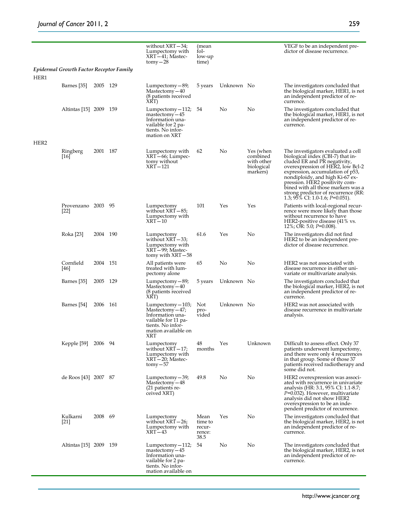j.

Î.

|      |                                         |          | without $XRT-34$ ;<br>Lumpectomy with<br>XRT-41; Mastec-<br>$t$ omy $-28$                                                         | (mean<br>fol-<br>low-up<br>time)            |            |                                                               | VEGF to be an independent pre-<br>dictor of disease recurrence.                                                                                                                                                                                                                                                                                                             |
|------|-----------------------------------------|----------|-----------------------------------------------------------------------------------------------------------------------------------|---------------------------------------------|------------|---------------------------------------------------------------|-----------------------------------------------------------------------------------------------------------------------------------------------------------------------------------------------------------------------------------------------------------------------------------------------------------------------------------------------------------------------------|
| HER1 | Epidermal Growth Factor Receptor Family |          |                                                                                                                                   |                                             |            |                                                               |                                                                                                                                                                                                                                                                                                                                                                             |
|      | Barnes [35]                             | 2005 129 | $Lumpedomy-89;$<br>$Masteromy-40$<br>(8 patients received<br>XRT)                                                                 | 5 years                                     | Unknown No |                                                               | The investigators concluded that<br>the biological marker, HER1, is not<br>an independent predictor of re-<br>currence.                                                                                                                                                                                                                                                     |
|      | Altintas [15] 2009 159                  |          | $Lumpedomy-112;$<br>$masterctomy-45$<br>Information una-<br>vailable for 2 pa-<br>tients. No infor-<br>mation on XRT              | 54                                          | No.        | No                                                            | The investigators concluded that<br>the biological marker, HER1, is not<br>an independent predictor of re-<br>currence.                                                                                                                                                                                                                                                     |
| HER2 |                                         |          |                                                                                                                                   |                                             |            |                                                               |                                                                                                                                                                                                                                                                                                                                                                             |
|      | Ringberg<br> 16                         | 2001 187 | Lumpectomy with<br>XRT-66; Lumpec-<br>tomy without<br>$XRT - 121$                                                                 | 62                                          | No         | Yes (when<br>combined<br>with other<br>biological<br>markers) | The investigators evaluated a cell<br>biological index (CBI-7) that in-<br>cluded ER and PR negativity,<br>overexpression of HER2, low Bcl-2<br>expression, accumulation of p53,<br>nondiploidy, and high Ki-67 ex-<br>pression. HER2 positivity com-<br>bined with all those markers was a<br>strong predictor of recurrence (RR:<br>1.3; $95\%$ CI: 1.0-1.6; $P=0.051$ ). |
|      | Provenzano 2003 95<br>$[22]$            |          | Lumpectomy<br>without $XRT - 85$ ;<br>Lumpectomy with<br>$XRT-10$                                                                 | 101                                         | Yes        | Yes                                                           | Patients with local-regional recur-<br>rence were more likely than those<br>without recurrence to have<br>HER2-positive disease (41% vs.<br>$12\%$ ; OR: 5.0; P=0.008).                                                                                                                                                                                                     |
|      | Roka [23]                               | 2004 190 | Lumpectomy<br>without $XRT - 33$ ;<br>Lumpectomy with<br>XRT-99; Mastec-<br>tomy with XRT-58                                      | 61.6                                        | Yes        | No                                                            | The investigators did not find<br>HER2 to be an independent pre-<br>dictor of disease recurrence.                                                                                                                                                                                                                                                                           |
|      | Cornfield<br>[46]                       | 2004 151 | All patients were<br>treated with lum-<br>pectomy alone                                                                           | 65                                          | No         | No                                                            | HER2 was not associated with<br>disease recurrence in either uni-<br>variate or multivariate analysis.                                                                                                                                                                                                                                                                      |
|      | Barnes [35]                             | 2005 129 | Lumpectomy-89;<br>Mastectomy-40<br>(8 patients received<br>XRT)                                                                   | 5 years                                     | Unknown No |                                                               | The investigators concluded that<br>the biological marker, HER2, is not<br>an independent predictor of re-<br>currence.                                                                                                                                                                                                                                                     |
|      | Barnes [54]                             | 2006 161 | $Lumpectomy-103;$<br>Mastectomy-47;<br>Information una-<br>vailable for 11 pa-<br>tients. No infor-<br>mation available on<br>XRT | Not<br>pro-<br>vided                        | Unknown No |                                                               | HER2 was not associated with<br>disease recurrence in multivariate<br>analysis.                                                                                                                                                                                                                                                                                             |
|      | Kepple [59]                             | 2006 94  | Lumpectomy<br>without $XRT-17$ ;<br>Lumpectomy with<br>XRT-20; Mastec-<br>$tomy - 57$                                             | 48<br>months                                | Yes        | Unknown                                                       | Difficult to assess effect. Only 37<br>patients underwent lumpectomy,<br>and there were only 4 recurrences<br>in that group. Some of those 37<br>patients received radiotherapy and<br>some did not.                                                                                                                                                                        |
|      | de Roos [43] 2007 87                    |          | $Lumpedomy-39;$<br>$Masteromy-48$<br>(21 patients re-<br>ceived XRT)                                                              | 49.8                                        | No         | No                                                            | HER2 overexpression was associ-<br>ated with recurrence in univariate<br>analysis (HR: 3.1, 95% CI: 1.1-8.7;<br>$P=0.032$ ). However, multivariate<br>analysis did not show HER2<br>overexpression to be an inde-<br>pendent predictor of recurrence.                                                                                                                       |
|      | Kulkarni<br>$[21]$                      | 2008 69  | Lumpectomy<br>without $XRT-26$ ;<br>Lumpectomy with<br>$XRT-43$                                                                   | Mean<br>time to<br>recur-<br>rence:<br>38.5 | Yes        | No                                                            | The investigators concluded that<br>the biological marker, HER2, is not<br>an independent predictor of re-<br>currence.                                                                                                                                                                                                                                                     |
|      | Altintas [15] 2009 159                  |          | $Lumpectomy-112;$<br>$masterctomy-45$<br>Information una-<br>vailable for 2 pa-<br>tients. No infor-<br>mation available on       | 54                                          | No.        | No                                                            | The investigators concluded that<br>the biological marker, HER2, is not<br>an independent predictor of re-<br>currence.                                                                                                                                                                                                                                                     |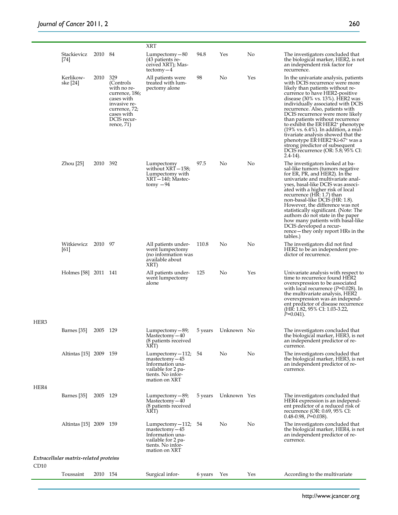|      | Stackievicz<br>[74]                   | 2010 84  |                                                                                                                                                 | XRT<br>$Lumpedomy-80$<br>(43 patients re-<br>ceived XRT); Mas-<br>$tectomy-4$                                        | 94.8    | Yes         | No  | The investigators concluded that<br>the biological marker, HER2, is not<br>an independent risk factor for<br>recurrence.                                                                                                                                                                                                                                                                                                                                                                                                                                                                                |
|------|---------------------------------------|----------|-------------------------------------------------------------------------------------------------------------------------------------------------|----------------------------------------------------------------------------------------------------------------------|---------|-------------|-----|---------------------------------------------------------------------------------------------------------------------------------------------------------------------------------------------------------------------------------------------------------------------------------------------------------------------------------------------------------------------------------------------------------------------------------------------------------------------------------------------------------------------------------------------------------------------------------------------------------|
|      | Kerlikow-<br>ske [24]                 | 2010     | 329<br>(Controls)<br>with no re-<br>currence, 186;<br>cases with<br>invasive re-<br>currence, 72;<br>cases with<br>DCIS recur-<br>rence, $71$ ) | All patients were<br>treated with lum-<br>pectomy alone                                                              | 98      | No.         | Yes | In the univariate analysis, patients<br>with DCIS recurrence were more<br>likely than patients without re-<br>currence to have HER2-positive<br>disease $(30\% \text{ vs. } 13\%)$ . HER2 was<br>individually associated with DCIS<br>recurrence. Also, patients with<br>DCIS recurrence were more likely<br>than patients without recurrence<br>to exhibit the ER-HER2+ phenotype<br>$(19\% \text{ vs. } 6.4\%)$ . In addition, a mul-<br>tivariate analysis showed that the<br>phenotype ER-HER2+Ki-67+ was a<br>strong predictor of subsequent<br>DCIS recurrence (OR: 5.8; 95% CI:<br>$2.4 - 14$ ). |
|      | Zhou [25]                             | 2010 392 |                                                                                                                                                 | Lumpectomy<br>without $XRT-158$ ;<br>Lumpectomy with<br>XRT-140; Mastec-<br>$tomy - 94$                              | 97.5    | No          | No  | The investigators looked at ba-<br>sal-like tumors (tumors negative<br>for ER, PR, and HER2). In the<br>univariate and multivariate anal-<br>yses, basal-like DCIS was associ-<br>ated with a higher risk of local<br>recurrence $(HR: 1.7)$ than<br>non-basal-like DCIS (HR: 1.8).<br>However, the difference was not<br>statistically significant. (Note: The<br>authors do not state in the paper<br>how many patients with basal-like<br>DCIS developed a recur-<br>rence – they only report HRs in the<br>tables.)                                                                                 |
|      | Witkiewicz<br> 61                     | 2010 97  |                                                                                                                                                 | All patients under-<br>went lumpectomy<br>(no information was<br>available about<br>XRT)                             | 110.8   | No          | No  | The investigators did not find<br>HER2 to be an independent pre-<br>dictor of recurrence.                                                                                                                                                                                                                                                                                                                                                                                                                                                                                                               |
|      | Holmes [58] 2011 141                  |          |                                                                                                                                                 | All patients under-<br>went lumpectomy<br>alone                                                                      | 125     | No          | Yes | Univariate analysis with respect to<br>time to recurrence found HER2<br>overexpression to be associated<br>with local recurrence $(P=0.028)$ . In<br>the multivariate analysis, HER2<br>overexpression was an independ-<br>ent predictor of disease recurrence<br>(HR: 1.82, 95% CI: 1.03-3.22,<br>$P=0.041$ ).                                                                                                                                                                                                                                                                                         |
| HER3 |                                       |          |                                                                                                                                                 |                                                                                                                      |         |             |     |                                                                                                                                                                                                                                                                                                                                                                                                                                                                                                                                                                                                         |
|      | Barnes [35]                           | 2005 129 |                                                                                                                                                 | Lumpectomy-89; 5 years Unknown No<br>$Masteromy-40$<br>(8 patients received<br>XRT)                                  |         |             |     | The investigators concluded that<br>the biological marker, HER3, is not<br>an independent predictor of re-<br>currence.                                                                                                                                                                                                                                                                                                                                                                                                                                                                                 |
|      | Altintas [15] 2009 159                |          |                                                                                                                                                 | $Lumpedomy-112;$<br>$masterctomy-45$<br>Information una-<br>vailable for 2 pa-<br>tients. No infor-<br>mation on XRT | -54     | No.         | No  | The investigators concluded that<br>the biological marker, HER3, is not<br>an independent predictor of re-<br>currence.                                                                                                                                                                                                                                                                                                                                                                                                                                                                                 |
| HER4 |                                       |          |                                                                                                                                                 |                                                                                                                      |         |             |     |                                                                                                                                                                                                                                                                                                                                                                                                                                                                                                                                                                                                         |
|      | Barnes [35]                           | 2005 129 |                                                                                                                                                 | Lumpectomy $-89$ ;<br>$Masteromy-40$<br>(8 patients received<br>XRT)                                                 | 5 years | Unknown Yes |     | The investigators concluded that<br>HER4 expression is an independ-<br>ent predictor of a reduced risk of<br>recurrence (OR: 0.69, 95% CI:<br>$0.48 - 0.98$ , $P = 0.038$ ).                                                                                                                                                                                                                                                                                                                                                                                                                            |
|      | Altintas [15] 2009 159                |          |                                                                                                                                                 | $Lumpedomy-112;$<br>$masterctomy-45$<br>Information una-<br>vailable for 2 pa-<br>tients. No infor-<br>mation on XRT | -54     | No.         | No  | The investigators concluded that<br>the biological marker, HER4, is not<br>an independent predictor of re-<br>currence.                                                                                                                                                                                                                                                                                                                                                                                                                                                                                 |
|      | Extracellular matrix-related proteins |          |                                                                                                                                                 |                                                                                                                      |         |             |     |                                                                                                                                                                                                                                                                                                                                                                                                                                                                                                                                                                                                         |
| CD10 |                                       |          |                                                                                                                                                 |                                                                                                                      |         |             |     |                                                                                                                                                                                                                                                                                                                                                                                                                                                                                                                                                                                                         |
|      | Toussaint                             | 2010 154 |                                                                                                                                                 | Surgical infor-                                                                                                      | 6 years | Yes         | Yes | According to the multivariate                                                                                                                                                                                                                                                                                                                                                                                                                                                                                                                                                                           |